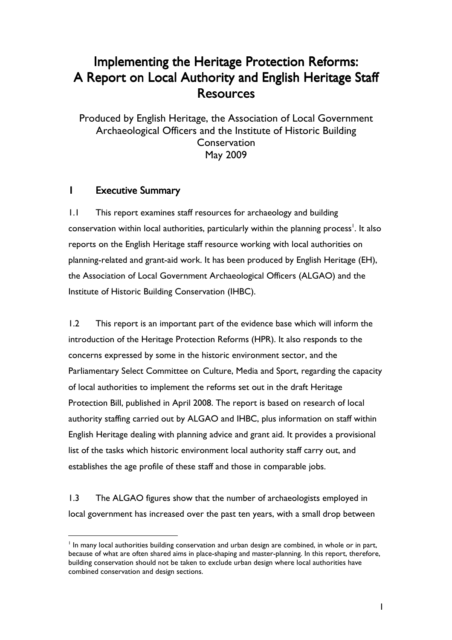# Implementing the Heritage Protection Reforms: A Report on Local Authority and English Heritage Staff Resources

Produced by English Heritage, the Association of Local Government Archaeological Officers and the Institute of Historic Building **Conservation** May 2009

## **1** Executive Summary

 $\overline{a}$ 

1.1 This report examines staff resources for archaeology and building conservation within local authorities, particularly within the planning process<sup>1</sup>. It also reports on the English Heritage staff resource working with local authorities on planning-related and grant-aid work. It has been produced by English Heritage (EH), the Association of Local Government Archaeological Officers (ALGAO) and the Institute of Historic Building Conservation (IHBC).

1.2 This report is an important part of the evidence base which will inform the introduction of the Heritage Protection Reforms (HPR). It also responds to the concerns expressed by some in the historic environment sector, and the Parliamentary Select Committee on Culture, Media and Sport, regarding the capacity of local authorities to implement the reforms set out in the draft Heritage Protection Bill, published in April 2008. The report is based on research of local authority staffing carried out by ALGAO and IHBC, plus information on staff within English Heritage dealing with planning advice and grant aid. It provides a provisional list of the tasks which historic environment local authority staff carry out, and establishes the age profile of these staff and those in comparable jobs.

1.3 The ALGAO figures show that the number of archaeologists employed in local government has increased over the past ten years, with a small drop between

In many local authorities building conservation and urban design are combined, in whole or in part, because of what are often shared aims in place-shaping and master-planning. In this report, therefore, building conservation should not be taken to exclude urban design where local authorities have combined conservation and design sections.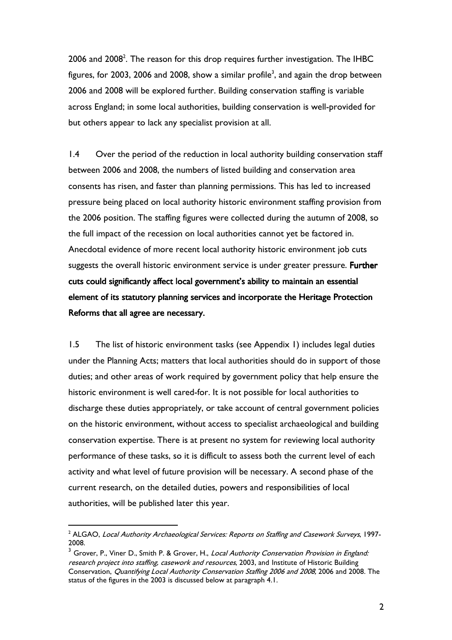2006 and 2008<sup>2</sup>. The reason for this drop requires further investigation. The IHBC figures, for 2003, 2006 and 2008, show a similar profile $^3$ , and again the drop between 2006 and 2008 will be explored further. Building conservation staffing is variable across England; in some local authorities, building conservation is well-provided for but others appear to lack any specialist provision at all.

1.4 Over the period of the reduction in local authority building conservation staff between 2006 and 2008, the numbers of listed building and conservation area consents has risen, and faster than planning permissions. This has led to increased pressure being placed on local authority historic environment staffing provision from the 2006 position. The staffing figures were collected during the autumn of 2008, so the full impact of the recession on local authorities cannot yet be factored in. Anecdotal evidence of more recent local authority historic environment job cuts suggests the overall historic environment service is under greater pressure. Further cuts could significantly affect local government's ability to maintain an essential element of its statutory planning services and incorporate the Heritage Protection Reforms that all agree are necessary.

1.5 The list of historic environment tasks (see Appendix 1) includes legal duties under the Planning Acts; matters that local authorities should do in support of those duties; and other areas of work required by government policy that help ensure the historic environment is well cared-for. It is not possible for local authorities to discharge these duties appropriately, or take account of central government policies on the historic environment, without access to specialist archaeological and building conservation expertise. There is at present no system for reviewing local authority performance of these tasks, so it is difficult to assess both the current level of each activity and what level of future provision will be necessary. A second phase of the current research, on the detailed duties, powers and responsibilities of local authorities, will be published later this year.

 $^{\rm 2}$  ALGAO, *Local Authority Archaeological Services: Reports on Staffing and Casework Surveys*, 1997-2008.

<sup>&</sup>lt;sup>3</sup> Grover, P., Viner D., Smith P. & Grover, H., *Local Authority Conservation Provision in England:* research project into staffing, casework and resources, 2003, and Institute of Historic Building Conservation, *Quantifying Local Authority Conservation Staffing 2006 and 2008*, 2006 and 2008. The status of the figures in the 2003 is discussed below at paragraph 4.1.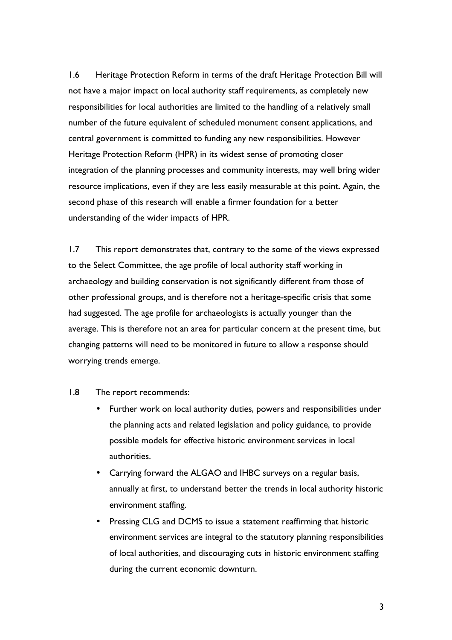1.6 Heritage Protection Reform in terms of the draft Heritage Protection Bill will not have a major impact on local authority staff requirements, as completely new responsibilities for local authorities are limited to the handling of a relatively small number of the future equivalent of scheduled monument consent applications, and central government is committed to funding any new responsibilities. However Heritage Protection Reform (HPR) in its widest sense of promoting closer integration of the planning processes and community interests, may well bring wider resource implications, even if they are less easily measurable at this point. Again, the second phase of this research will enable a firmer foundation for a better understanding of the wider impacts of HPR.

1.7 This report demonstrates that, contrary to the some of the views expressed to the Select Committee, the age profile of local authority staff working in archaeology and building conservation is not significantly different from those of other professional groups, and is therefore not a heritage-specific crisis that some had suggested. The age profile for archaeologists is actually younger than the average. This is therefore not an area for particular concern at the present time, but changing patterns will need to be monitored in future to allow a response should worrying trends emerge.

#### 1.8 The report recommends:

- Further work on local authority duties, powers and responsibilities under the planning acts and related legislation and policy guidance, to provide possible models for effective historic environment services in local authorities.
- Carrying forward the ALGAO and IHBC surveys on a regular basis, annually at first, to understand better the trends in local authority historic environment staffing.
- Pressing CLG and DCMS to issue a statement reaffirming that historic environment services are integral to the statutory planning responsibilities of local authorities, and discouraging cuts in historic environment staffing during the current economic downturn.

3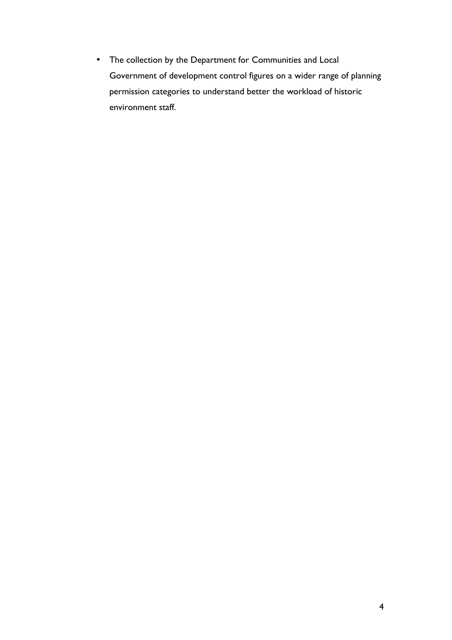• The collection by the Department for Communities and Local Government of development control figures on a wider range of planning permission categories to understand better the workload of historic environment staff.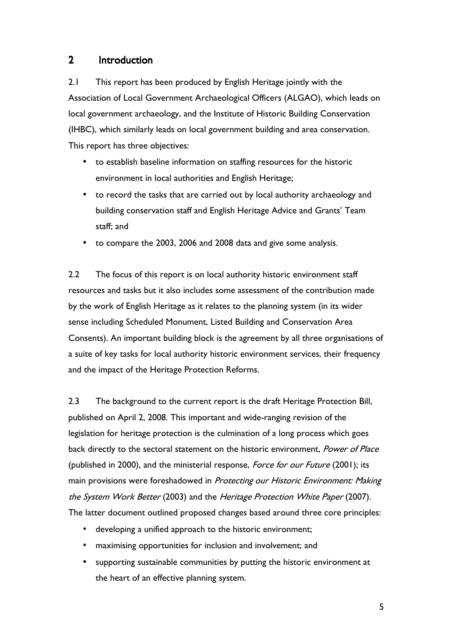## 2 Introduction

2.1 This report has been produced by English Heritage jointly with the Association of Local Government Archaeological Officers (ALGAO), which leads on local government archaeology, and the Institute of Historic Building Conservation (IHBC), which similarly leads on local government building and area conservation. This report has three objectives:

- to establish baseline information on staffing resources for the historic environment in local authorities and English Heritage;
- to record the tasks that are carried out by local authority archaeology and building conservation staff and English Heritage Advice and Grants' Team staff; and
- to compare the 2003, 2006 and 2008 data and give some analysis.

2.2 The focus of this report is on local authority historic environment staff resources and tasks but it also includes some assessment of the contribution made by the work of English Heritage as it relates to the planning system (in its wider sense including Scheduled Monument, Listed Building and Conservation Area Consents). An important building block is the agreement by all three organisations of a suite of key tasks for local authority historic environment services, their frequency and the impact of the Heritage Protection Reforms.

2.3 The background to the current report is the draft Heritage Protection Bill, published on April 2, 2008. This important and wide-ranging revision of the legislation for heritage protection is the culmination of a long process which goes back directly to the sectoral statement on the historic environment, Power of Place (published in 2000), and the ministerial response, *Force for our Future* (2001); its main provisions were foreshadowed in Protecting our Historic Environment: Making the System Work Better (2003) and the Heritage Protection White Paper (2007). The latter document outlined proposed changes based around three core principles:

- developing a unified approach to the historic environment;
- maximising opportunities for inclusion and involvement; and
- supporting sustainable communities by putting the historic environment at the heart of an effective planning system.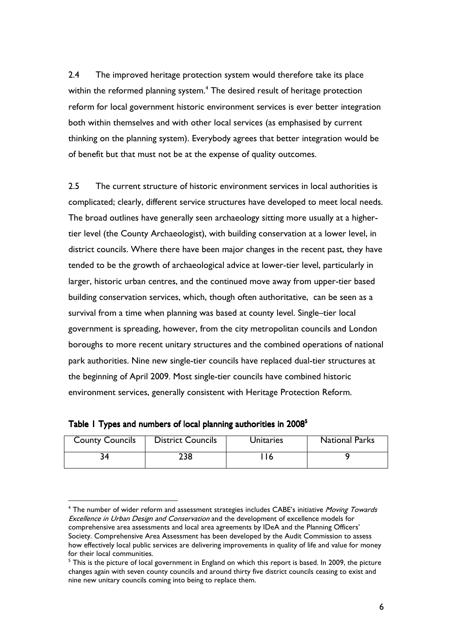2.4 The improved heritage protection system would therefore take its place within the reformed planning system.<sup>4</sup> The desired result of heritage protection reform for local government historic environment services is ever better integration both within themselves and with other local services (as emphasised by current thinking on the planning system). Everybody agrees that better integration would be of benefit but that must not be at the expense of quality outcomes.

2.5 The current structure of historic environment services in local authorities is complicated; clearly, different service structures have developed to meet local needs. The broad outlines have generally seen archaeology sitting more usually at a highertier level (the County Archaeologist), with building conservation at a lower level, in district councils. Where there have been major changes in the recent past, they have tended to be the growth of archaeological advice at lower-tier level, particularly in larger, historic urban centres, and the continued move away from upper-tier based building conservation services, which, though often authoritative, can be seen as a survival from a time when planning was based at county level. Single–tier local government is spreading, however, from the city metropolitan councils and London boroughs to more recent unitary structures and the combined operations of national park authorities. Nine new single-tier councils have replaced dual-tier structures at the beginning of April 2009. Most single-tier councils have combined historic environment services, generally consistent with Heritage Protection Reform.

| <b>County Councils</b> | <b>District Councils</b> | <b>Unitaries</b> | <b>National Parks</b> |
|------------------------|--------------------------|------------------|-----------------------|
|                        | 238                      |                  |                       |

| Table I Types and numbers of local planning authorities in 2008 <sup>5</sup> |  |  |  |  |  |  |  |  |
|------------------------------------------------------------------------------|--|--|--|--|--|--|--|--|
|------------------------------------------------------------------------------|--|--|--|--|--|--|--|--|

<sup>&</sup>lt;sup>4</sup> The number of wider reform and assessment strategies includes CABE's initiative *Moving Towards* Excellence in Urban Design and Conservation and the development of excellence models for comprehensive area assessments and local area agreements by IDeA and the Planning Officers' Society. Comprehensive Area Assessment has been developed by the Audit Commission to assess how effectively local public services are delivering improvements in quality of life and value for money for their local communities.

 $^{\rm 5}$  This is the picture of local government in England on which this report is based. In 2009, the picture changes again with seven county councils and around thirty five district councils ceasing to exist and nine new unitary councils coming into being to replace them.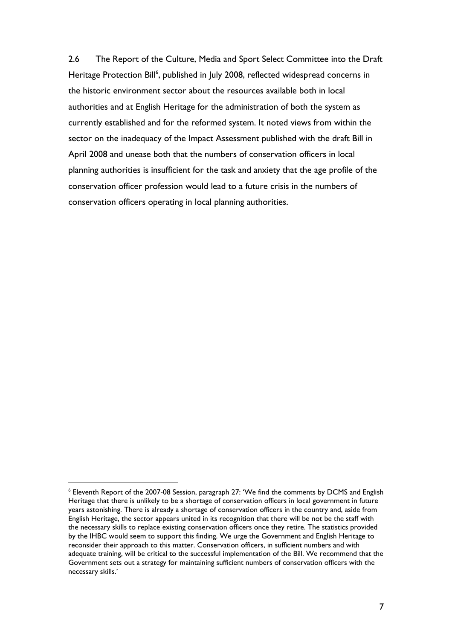2.6 The Report of the Culture, Media and Sport Select Committee into the Draft Heritage Protection Bill<sup>6</sup>, published in July 2008, reflected widespread concerns in the historic environment sector about the resources available both in local authorities and at English Heritage for the administration of both the system as currently established and for the reformed system. It noted views from within the sector on the inadequacy of the Impact Assessment published with the draft Bill in April 2008 and unease both that the numbers of conservation officers in local planning authorities is insufficient for the task and anxiety that the age profile of the conservation officer profession would lead to a future crisis in the numbers of conservation officers operating in local planning authorities.

 $^6$  Eleventh Report of the 2007-08 Session, paragraph 27: 'We find the comments by DCMS and English Heritage that there is unlikely to be a shortage of conservation officers in local government in future years astonishing. There is already a shortage of conservation officers in the country and, aside from English Heritage, the sector appears united in its recognition that there will be not be the staff with the necessary skills to replace existing conservation officers once they retire. The statistics provided by the IHBC would seem to support this finding. We urge the Government and English Heritage to reconsider their approach to this matter. Conservation officers, in sufficient numbers and with adequate training, will be critical to the successful implementation of the Bill. We recommend that the Government sets out a strategy for maintaining sufficient numbers of conservation officers with the necessary skills.'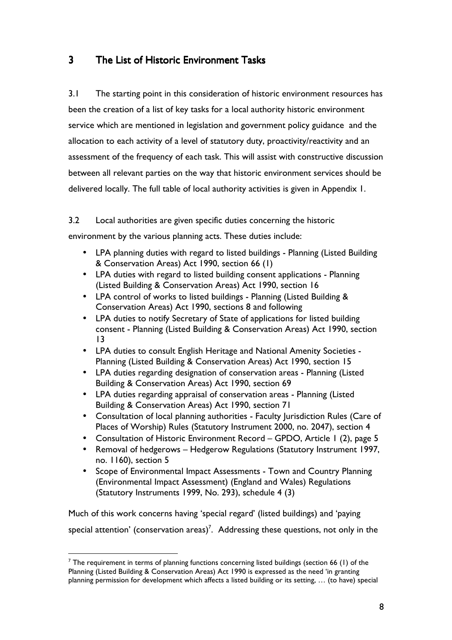## 3 The List of Historic Environment Tasks

3.1 The starting point in this consideration of historic environment resources has been the creation of a list of key tasks for a local authority historic environment service which are mentioned in legislation and government policy guidance and the allocation to each activity of a level of statutory duty, proactivity/reactivity and an assessment of the frequency of each task. This will assist with constructive discussion between all relevant parties on the way that historic environment services should be delivered locally. The full table of local authority activities is given in Appendix 1.

3.2 Local authorities are given specific duties concerning the historic

environment by the various planning acts. These duties include:

- LPA planning duties with regard to listed buildings Planning (Listed Building & Conservation Areas) Act 1990, section 66 (1)
- LPA duties with regard to listed building consent applications Planning (Listed Building & Conservation Areas) Act 1990, section 16
- LPA control of works to listed buildings Planning (Listed Building & Conservation Areas) Act 1990, sections 8 and following
- LPA duties to notify Secretary of State of applications for listed building consent - Planning (Listed Building & Conservation Areas) Act 1990, section 13
- LPA duties to consult English Heritage and National Amenity Societies Planning (Listed Building & Conservation Areas) Act 1990, section 15
- LPA duties regarding designation of conservation areas Planning (Listed Building & Conservation Areas) Act 1990, section 69
- LPA duties regarding appraisal of conservation areas Planning (Listed Building & Conservation Areas) Act 1990, section 71
- Consultation of local planning authorities Faculty Jurisdiction Rules (Care of Places of Worship) Rules (Statutory Instrument 2000, no. 2047), section 4
- Consultation of Historic Environment Record GPDO, Article 1 (2), page 5
- Removal of hedgerows Hedgerow Regulations (Statutory Instrument 1997, no. 1160), section 5
- Scope of Environmental Impact Assessments Town and Country Planning (Environmental Impact Assessment) (England and Wales) Regulations (Statutory Instruments 1999, No. 293), schedule 4 (3)

Much of this work concerns having 'special regard' (listed buildings) and 'paying special attention' (conservation areas)<sup>7</sup>. Addressing these questions, not only in the

 $^7$  The requirement in terms of planning functions concerning listed buildings (section 66 (1) of the Planning (Listed Building & Conservation Areas) Act 1990 is expressed as the need 'in granting planning permission for development which affects a listed building or its setting, … (to have) special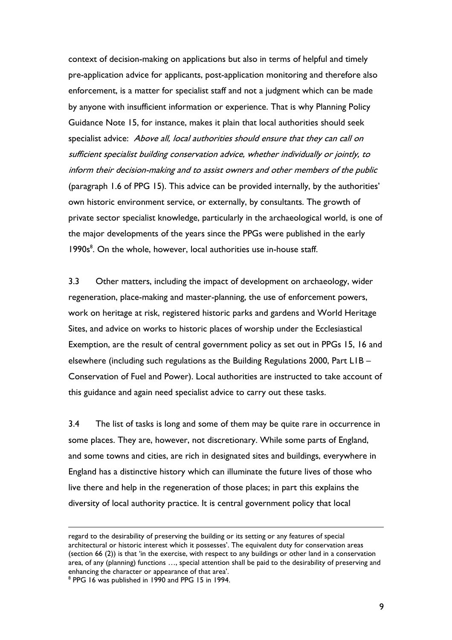context of decision-making on applications but also in terms of helpful and timely pre-application advice for applicants, post-application monitoring and therefore also enforcement, is a matter for specialist staff and not a judgment which can be made by anyone with insufficient information or experience. That is why Planning Policy Guidance Note 15, for instance, makes it plain that local authorities should seek specialist advice: Above all, local authorities should ensure that they can call on sufficient specialist building conservation advice, whether individually or jointly, to inform their decision-making and to assist owners and other members of the public (paragraph 1.6 of PPG 15). This advice can be provided internally, by the authorities' own historic environment service, or externally, by consultants. The growth of private sector specialist knowledge, particularly in the archaeological world, is one of the major developments of the years since the PPGs were published in the early 1990s<sup>8</sup>. On the whole, however, local authorities use in-house staff.

3.3 Other matters, including the impact of development on archaeology, wider regeneration, place-making and master-planning, the use of enforcement powers, work on heritage at risk, registered historic parks and gardens and World Heritage Sites, and advice on works to historic places of worship under the Ecclesiastical Exemption, are the result of central government policy as set out in PPGs 15, 16 and elsewhere (including such regulations as the Building Regulations 2000, Part L1B – Conservation of Fuel and Power). Local authorities are instructed to take account of this guidance and again need specialist advice to carry out these tasks.

3.4 The list of tasks is long and some of them may be quite rare in occurrence in some places. They are, however, not discretionary. While some parts of England, and some towns and cities, are rich in designated sites and buildings, everywhere in England has a distinctive history which can illuminate the future lives of those who live there and help in the regeneration of those places; in part this explains the diversity of local authority practice. It is central government policy that local

regard to the desirability of preserving the building or its setting or any features of special architectural or historic interest which it possesses'. The equivalent duty for conservation areas (section 66 (2)) is that 'in the exercise, with respect to any buildings or other land in a conservation area, of any (planning) functions …, special attention shall be paid to the desirability of preserving and enhancing the character or appearance of that area'.

<sup>&</sup>lt;sup>8</sup> PPG 16 was published in 1990 and PPG 15 in 1994.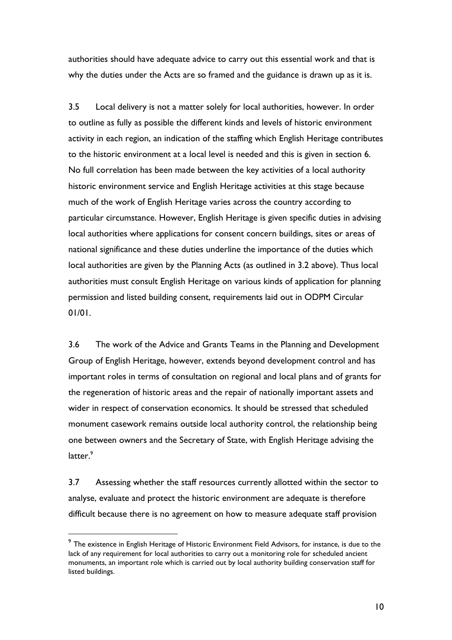authorities should have adequate advice to carry out this essential work and that is why the duties under the Acts are so framed and the guidance is drawn up as it is.

3.5 Local delivery is not a matter solely for local authorities, however. In order to outline as fully as possible the different kinds and levels of historic environment activity in each region, an indication of the staffing which English Heritage contributes to the historic environment at a local level is needed and this is given in section 6. No full correlation has been made between the key activities of a local authority historic environment service and English Heritage activities at this stage because much of the work of English Heritage varies across the country according to particular circumstance. However, English Heritage is given specific duties in advising local authorities where applications for consent concern buildings, sites or areas of national significance and these duties underline the importance of the duties which local authorities are given by the Planning Acts (as outlined in 3.2 above). Thus local authorities must consult English Heritage on various kinds of application for planning permission and listed building consent, requirements laid out in ODPM Circular 01/01.

3.6 The work of the Advice and Grants Teams in the Planning and Development Group of English Heritage, however, extends beyond development control and has important roles in terms of consultation on regional and local plans and of grants for the regeneration of historic areas and the repair of nationally important assets and wider in respect of conservation economics. It should be stressed that scheduled monument casework remains outside local authority control, the relationship being one between owners and the Secretary of State, with English Heritage advising the latter.<sup>9</sup>

3.7 Assessing whether the staff resources currently allotted within the sector to analyse, evaluate and protect the historic environment are adequate is therefore difficult because there is no agreement on how to measure adequate staff provision

 $^9$  The existence in English Heritage of Historic Environment Field Advisors, for instance, is due to the lack of any requirement for local authorities to carry out a monitoring role for scheduled ancient monuments, an important role which is carried out by local authority building conservation staff for listed buildings.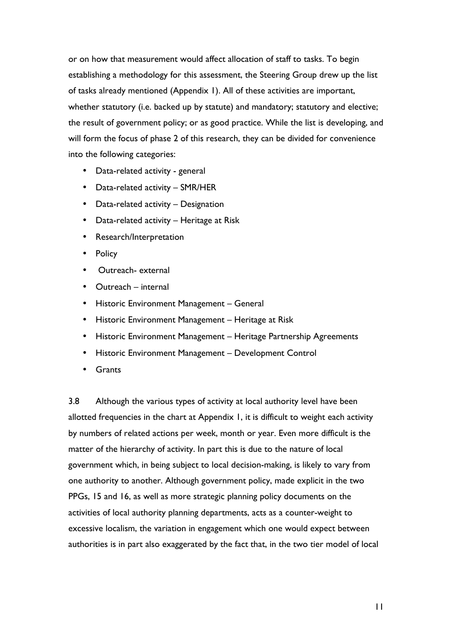or on how that measurement would affect allocation of staff to tasks. To begin establishing a methodology for this assessment, the Steering Group drew up the list of tasks already mentioned (Appendix 1). All of these activities are important, whether statutory (i.e. backed up by statute) and mandatory; statutory and elective; the result of government policy; or as good practice. While the list is developing, and will form the focus of phase 2 of this research, they can be divided for convenience into the following categories:

- Data-related activity general
- Data-related activity SMR/HER
- Data-related activity Designation
- Data-related activity Heritage at Risk
- Research/Interpretation
- **Policy**
- Outreach- external
- Outreach internal
- Historic Environment Management General
- Historic Environment Management Heritage at Risk
- Historic Environment Management Heritage Partnership Agreements
- Historic Environment Management Development Control
- **Grants**

3.8 Although the various types of activity at local authority level have been allotted frequencies in the chart at Appendix 1, it is difficult to weight each activity by numbers of related actions per week, month or year. Even more difficult is the matter of the hierarchy of activity. In part this is due to the nature of local government which, in being subject to local decision-making, is likely to vary from one authority to another. Although government policy, made explicit in the two PPGs, 15 and 16, as well as more strategic planning policy documents on the activities of local authority planning departments, acts as a counter-weight to excessive localism, the variation in engagement which one would expect between authorities is in part also exaggerated by the fact that, in the two tier model of local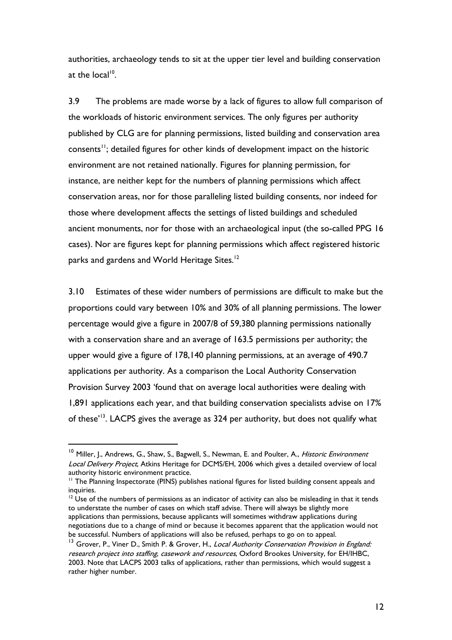authorities, archaeology tends to sit at the upper tier level and building conservation at the local<sup>10</sup>.

3.9 The problems are made worse by a lack of figures to allow full comparison of the workloads of historic environment services. The only figures per authority published by CLG are for planning permissions, listed building and conservation area consents<sup>11</sup>; detailed figures for other kinds of development impact on the historic environment are not retained nationally. Figures for planning permission, for instance, are neither kept for the numbers of planning permissions which affect conservation areas, nor for those paralleling listed building consents, nor indeed for those where development affects the settings of listed buildings and scheduled ancient monuments, nor for those with an archaeological input (the so-called PPG 16 cases). Nor are figures kept for planning permissions which affect registered historic parks and gardens and World Heritage Sites. $^{12}$ 

3.10 Estimates of these wider numbers of permissions are difficult to make but the proportions could vary between 10% and 30% of all planning permissions. The lower percentage would give a figure in 2007/8 of 59,380 planning permissions nationally with a conservation share and an average of 163.5 permissions per authority; the upper would give a figure of 178,140 planning permissions, at an average of 490.7 applications per authority. As a comparison the Local Authority Conservation Provision Survey 2003 'found that on average local authorities were dealing with 1,891 applications each year, and that building conservation specialists advise on 17% of these'<sup>13</sup>. LACPS gives the average as 324 per authority, but does not qualify what

<sup>&</sup>lt;sup>10</sup> Miller, I., Andrews, G., Shaw, S., Bagwell, S., Newman, E. and Poulter, A., *Historic Environment* Local Delivery Project, Atkins Heritage for DCMS/EH, 2006 which gives a detailed overview of local authority historic environment practice.

<sup>&</sup>lt;sup>11</sup> The Planning Inspectorate (PINS) publishes national figures for listed building consent appeals and inquiries.

 $12$  Use of the numbers of permissions as an indicator of activity can also be misleading in that it tends to understate the number of cases on which staff advise. There will always be slightly more applications than permissions, because applicants will sometimes withdraw applications during negotiations due to a change of mind or because it becomes apparent that the application would not be successful. Numbers of applications will also be refused, perhaps to go on to appeal.

<sup>&</sup>lt;sup>13</sup> Grover, P., Viner D., Smith P. & Grover, H., *Local Authority Conservation Provision in England:* research project into staffing, casework and resources, Oxford Brookes University, for EH/IHBC, 2003. Note that LACPS 2003 talks of applications, rather than permissions, which would suggest a rather higher number.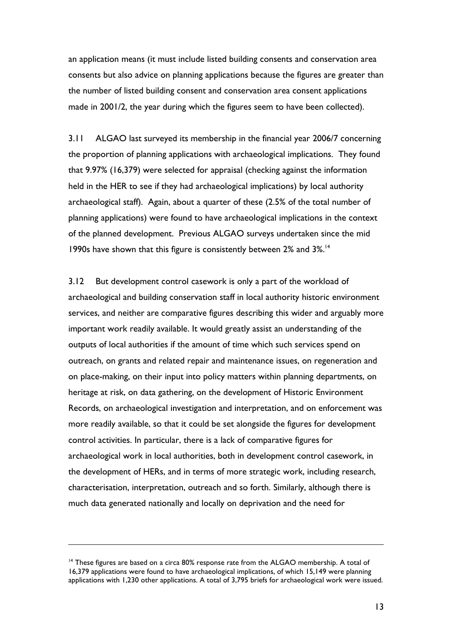an application means (it must include listed building consents and conservation area consents but also advice on planning applications because the figures are greater than the number of listed building consent and conservation area consent applications made in 2001/2, the year during which the figures seem to have been collected).

3.11 ALGAO last surveyed its membership in the financial year 2006/7 concerning the proportion of planning applications with archaeological implications. They found that 9.97% (16,379) were selected for appraisal (checking against the information held in the HER to see if they had archaeological implications) by local authority archaeological staff). Again, about a quarter of these (2.5% of the total number of planning applications) were found to have archaeological implications in the context of the planned development. Previous ALGAO surveys undertaken since the mid 1990s have shown that this figure is consistently between 2% and 3%.<sup>14</sup>

3.12 But development control casework is only a part of the workload of archaeological and building conservation staff in local authority historic environment services, and neither are comparative figures describing this wider and arguably more important work readily available. It would greatly assist an understanding of the outputs of local authorities if the amount of time which such services spend on outreach, on grants and related repair and maintenance issues, on regeneration and on place-making, on their input into policy matters within planning departments, on heritage at risk, on data gathering, on the development of Historic Environment Records, on archaeological investigation and interpretation, and on enforcement was more readily available, so that it could be set alongside the figures for development control activities. In particular, there is a lack of comparative figures for archaeological work in local authorities, both in development control casework, in the development of HERs, and in terms of more strategic work, including research, characterisation, interpretation, outreach and so forth. Similarly, although there is much data generated nationally and locally on deprivation and the need for

 $14$  These figures are based on a circa 80% response rate from the ALGAO membership. A total of 16,379 applications were found to have archaeological implications, of which 15,149 were planning applications with 1,230 other applications. A total of 3,795 briefs for archaeological work were issued.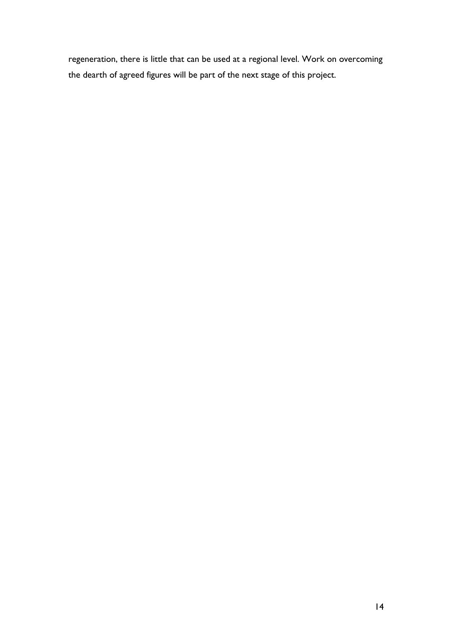regeneration, there is little that can be used at a regional level. Work on overcoming the dearth of agreed figures will be part of the next stage of this project.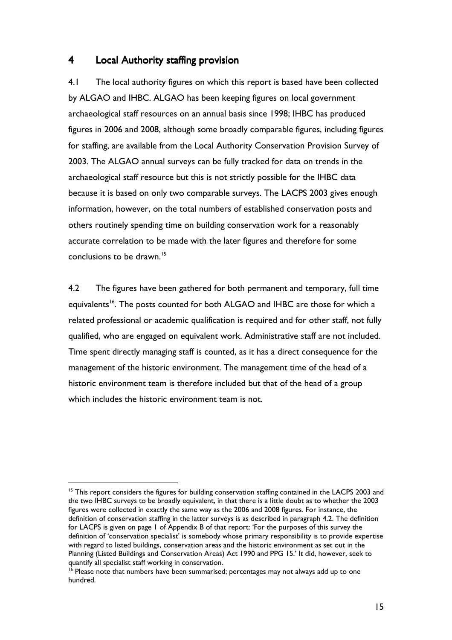### 4 Local Authority staffing provision

4.1 The local authority figures on which this report is based have been collected by ALGAO and IHBC. ALGAO has been keeping figures on local government archaeological staff resources on an annual basis since 1998; IHBC has produced figures in 2006 and 2008, although some broadly comparable figures, including figures for staffing, are available from the Local Authority Conservation Provision Survey of 2003. The ALGAO annual surveys can be fully tracked for data on trends in the archaeological staff resource but this is not strictly possible for the IHBC data because it is based on only two comparable surveys. The LACPS 2003 gives enough information, however, on the total numbers of established conservation posts and others routinely spending time on building conservation work for a reasonably accurate correlation to be made with the later figures and therefore for some conclusions to be drawn.<sup>15</sup>

4.2 The figures have been gathered for both permanent and temporary, full time equivalents<sup>16</sup>. The posts counted for both ALGAO and IHBC are those for which a related professional or academic qualification is required and for other staff, not fully qualified, who are engaged on equivalent work. Administrative staff are not included. Time spent directly managing staff is counted, as it has a direct consequence for the management of the historic environment. The management time of the head of a historic environment team is therefore included but that of the head of a group which includes the historic environment team is not.

<sup>&</sup>lt;sup>15</sup> This report considers the figures for building conservation staffing contained in the LACPS 2003 and the two IHBC surveys to be broadly equivalent, in that there is a little doubt as to whether the 2003 figures were collected in exactly the same way as the 2006 and 2008 figures. For instance, the definition of conservation staffing in the latter surveys is as described in paragraph 4.2. The definition for LACPS is given on page 1 of Appendix B of that report: 'For the purposes of this survey the definition of 'conservation specialist' is somebody whose primary responsibility is to provide expertise with regard to listed buildings, conservation areas and the historic environment as set out in the Planning (Listed Buildings and Conservation Areas) Act 1990 and PPG 15.' It did, however, seek to quantify all specialist staff working in conservation.

<sup>&</sup>lt;sup>16</sup> Please note that numbers have been summarised; percentages may not always add up to one hundred.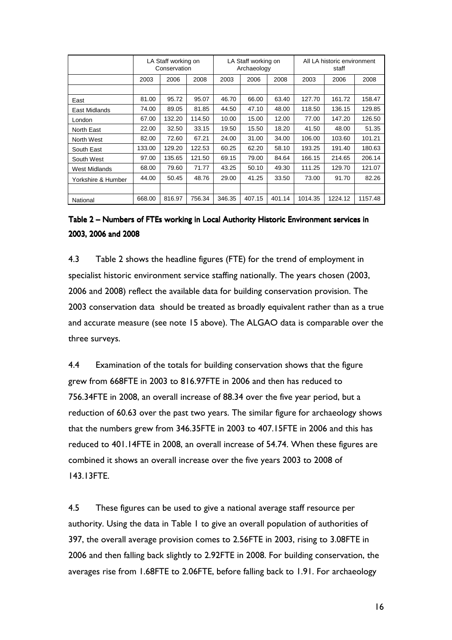|                    |        | LA Staff working on<br>Conservation |        |        | LA Staff working on<br>Archaeology |        |         | All LA historic environment<br>staff |         |
|--------------------|--------|-------------------------------------|--------|--------|------------------------------------|--------|---------|--------------------------------------|---------|
|                    | 2003   | 2006                                | 2008   | 2003   | 2006                               | 2008   | 2003    | 2006                                 | 2008    |
|                    |        |                                     |        |        |                                    |        |         |                                      |         |
| East               | 81.00  | 95.72                               | 95.07  | 46.70  | 66.00                              | 63.40  | 127.70  | 161.72                               | 158.47  |
| East Midlands      | 74.00  | 89.05                               | 81.85  | 44.50  | 47.10                              | 48.00  | 118.50  | 136.15                               | 129.85  |
| London             | 67.00  | 132.20                              | 114.50 | 10.00  | 15.00                              | 12.00  | 77.00   | 147.20                               | 126.50  |
| North East         | 22.00  | 32.50                               | 33.15  | 19.50  | 15.50                              | 18.20  | 41.50   | 48.00                                | 51.35   |
| North West         | 82.00  | 72.60                               | 67.21  | 24.00  | 31.00                              | 34.00  | 106.00  | 103.60                               | 101.21  |
| South East         | 133.00 | 129.20                              | 122.53 | 60.25  | 62.20                              | 58.10  | 193.25  | 191.40                               | 180.63  |
| South West         | 97.00  | 135.65                              | 121.50 | 69.15  | 79.00                              | 84.64  | 166.15  | 214.65                               | 206.14  |
| West Midlands      | 68.00  | 79.60                               | 71.77  | 43.25  | 50.10                              | 49.30  | 111.25  | 129.70                               | 121.07  |
| Yorkshire & Humber | 44.00  | 50.45                               | 48.76  | 29.00  | 41.25                              | 33.50  | 73.00   | 91.70                                | 82.26   |
|                    |        |                                     |        |        |                                    |        |         |                                      |         |
| National           | 668.00 | 816.97                              | 756.34 | 346.35 | 407.15                             | 401.14 | 1014.35 | 1224.12                              | 1157.48 |

## Table 2 – Numbers of FTEs working in Local Authority Historic Environment services in 2003, 2006 and 2008

4.3 Table 2 shows the headline figures (FTE) for the trend of employment in specialist historic environment service staffing nationally. The years chosen (2003, 2006 and 2008) reflect the available data for building conservation provision. The 2003 conservation data should be treated as broadly equivalent rather than as a true and accurate measure (see note 15 above). The ALGAO data is comparable over the three surveys.

4.4 Examination of the totals for building conservation shows that the figure grew from 668FTE in 2003 to 816.97FTE in 2006 and then has reduced to 756.34FTE in 2008, an overall increase of 88.34 over the five year period, but a reduction of 60.63 over the past two years. The similar figure for archaeology shows that the numbers grew from 346.35FTE in 2003 to 407.15FTE in 2006 and this has reduced to 401.14FTE in 2008, an overall increase of 54.74. When these figures are combined it shows an overall increase over the five years 2003 to 2008 of 143.13FTE.

4.5 These figures can be used to give a national average staff resource per authority. Using the data in Table 1 to give an overall population of authorities of 397, the overall average provision comes to 2.56FTE in 2003, rising to 3.08FTE in 2006 and then falling back slightly to 2.92FTE in 2008. For building conservation, the averages rise from 1.68FTE to 2.06FTE, before falling back to 1.91. For archaeology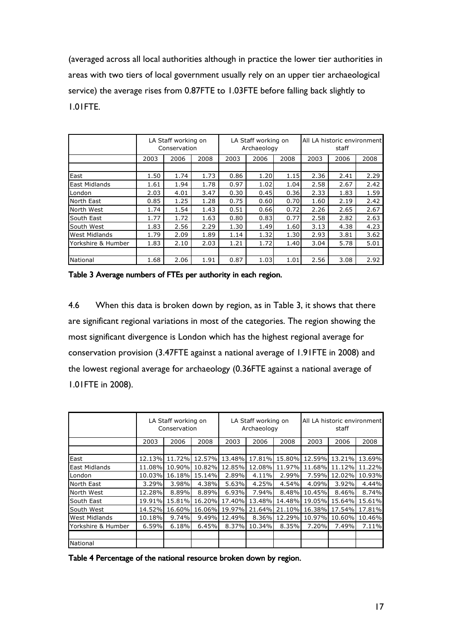(averaged across all local authorities although in practice the lower tier authorities in areas with two tiers of local government usually rely on an upper tier archaeological service) the average rises from 0.87FTE to 1.03FTE before falling back slightly to 1.01FTE.

|                      |      | LA Staff working on<br>Conservation |      |      | LA Staff working on<br>Archaeology |      |      | All LA historic environment<br>staff |      |
|----------------------|------|-------------------------------------|------|------|------------------------------------|------|------|--------------------------------------|------|
|                      |      |                                     |      |      |                                    |      |      |                                      |      |
|                      | 2003 | 2006                                | 2008 | 2003 | 2006                               | 2008 | 2003 | 2006                                 | 2008 |
|                      |      |                                     |      |      |                                    |      |      |                                      |      |
| East                 | 1.50 | 1.74                                | 1.73 | 0.86 | 1.20                               | 1.15 | 2.36 | 2.41                                 | 2.29 |
| <b>East Midlands</b> | 1.61 | 1.94                                | 1.78 | 0.97 | 1.02                               | 1.04 | 2.58 | 2.67                                 | 2.42 |
| London               | 2.03 | 4.01                                | 3.47 | 0.30 | 0.45                               | 0.36 | 2.33 | 1.83                                 | 1.59 |
| North East           | 0.85 | 1.25                                | 1.28 | 0.75 | 0.60                               | 0.70 | 1.60 | 2.19                                 | 2.42 |
| North West           | 1.74 | 1.54                                | 1.43 | 0.51 | 0.66                               | 0.72 | 2.26 | 2.65                                 | 2.67 |
| South East           | 1.77 | 1.72                                | 1.63 | 0.80 | 0.83                               | 0.77 | 2.58 | 2.82                                 | 2.63 |
| South West           | 1.83 | 2.56                                | 2.29 | 1.30 | 1.49                               | 1.60 | 3.13 | 4.38                                 | 4.23 |
| <b>West Midlands</b> | 1.79 | 2.09                                | 1.89 | 1.14 | 1.32                               | 1.30 | 2.93 | 3.81                                 | 3.62 |
| Yorkshire & Humber   | 1.83 | 2.10                                | 2.03 | 1.21 | 1.72                               | 1.40 | 3.04 | 5.78                                 | 5.01 |
|                      |      |                                     |      |      |                                    |      |      |                                      |      |
| <b>National</b>      | 1.68 | 2.06                                | 1.91 | 0.87 | 1.03                               | 1.01 | 2.56 | 3.08                                 | 2.92 |

Table 3 Average numbers of FTEs per authority in each region.

4.6 When this data is broken down by region, as in Table 3, it shows that there are significant regional variations in most of the categories. The region showing the most significant divergence is London which has the highest regional average for conservation provision (3.47FTE against a national average of 1.91FTE in 2008) and the lowest regional average for archaeology (0.36FTE against a national average of 1.01FTE in 2008).

|                      | LA Staff working on<br>Conservation |        | LA Staff working on<br>Archaeology |        |        | All LA historic environment<br>staff |        |        |        |
|----------------------|-------------------------------------|--------|------------------------------------|--------|--------|--------------------------------------|--------|--------|--------|
|                      | 2003                                | 2006   | 2008                               | 2003   | 2006   | 2008                                 | 2003   | 2006   | 2008   |
|                      |                                     |        |                                    |        |        |                                      |        |        |        |
| East                 | 12.13%                              | 11.72% | 12.57%                             | 13.48% | 17.81% | 15.80%                               | 12.59% | 13.21% | 13.69% |
| East Midlands        | 11.08%                              | 10.90% | 10.82%                             | 12.85% | 12.08% | 11.97%                               | 11.68% | 11.12% | 11.22% |
| London               | 10.03%                              | 16.18% | 15.14%                             | 2.89%  | 4.11%  | 2.99%                                | 7.59%  | 12.02% | 10.93% |
| North East           | 3.29%                               | 3.98%  | 4.38%                              | 5.63%  | 4.25%  | 4.54%                                | 4.09%  | 3.92%  | 4.44%  |
| North West           | 12.28%                              | 8.89%  | 8.89%                              | 6.93%  | 7.94%  | 8.48%                                | 10.45% | 8.46%  | 8.74%  |
| South East           | 19.91%                              | 15.81% | 16.20%                             | 17.40% | 13.48% | 14.48%                               | 19.05% | 15.64% | 15.61% |
| South West           | 14.52%                              | 16.60% | 16.06%                             | 19.97% | 21.64% | 21.10%                               | 16.38% | 17.54% | 17.81% |
| <b>West Midlands</b> | 10.18%                              | 9.74%  | 9.49%                              | 12.49% | 8.36%  | 12.29%                               | 10.97% | 10.60% | 10.46% |
| Yorkshire & Humber   | 6.59%                               | 6.18%  | 6.45%                              | 8.37%  | 10.34% | 8.35%                                | 7.20%  | 7.49%  | 7.11%  |
|                      |                                     |        |                                    |        |        |                                      |        |        |        |
| National             |                                     |        |                                    |        |        |                                      |        |        |        |

Table 4 Percentage of the national resource broken down by region.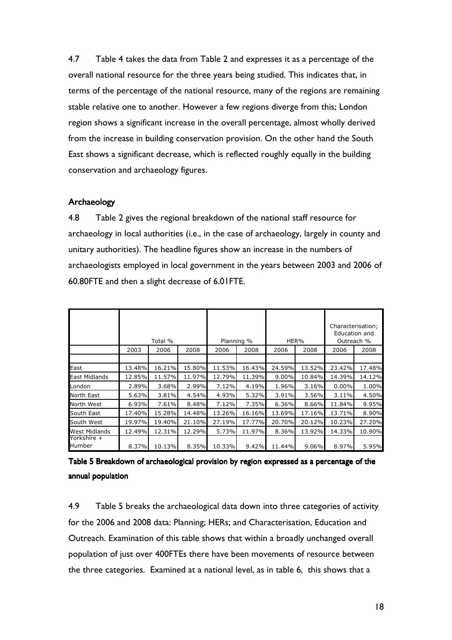4.7 Table 4 takes the data from Table 2 and expresses it as a percentage of the overall national resource for the three years being studied. This indicates that, in terms of the percentage of the national resource, many of the regions are remaining stable relative one to another. However a few regions diverge from this; London region shows a significant increase in the overall percentage, almost wholly derived from the increase in building conservation provision. On the other hand the South East shows a significant decrease, which is reflected roughly equally in the building conservation and archaeology figures.

#### Archaeology Archaeology

4.8 Table 2 gives the regional breakdown of the national staff resource for archaeology in local authorities (i.e., in the case of archaeology, largely in county and unitary authorities). The headline figures show an increase in the numbers of archaeologists employed in local government in the years between 2003 and 2006 of 60.80FTE and then a slight decrease of 6.01FTE.

|                                |        | Total % |        | Planning % |        |          | HER%     |        | Characterisation;<br>Education and<br>Outreach % |
|--------------------------------|--------|---------|--------|------------|--------|----------|----------|--------|--------------------------------------------------|
|                                | 2003   | 2006    | 2008   | 2006       | 2008   | 2006     | 2008     | 2006   | 2008                                             |
|                                |        |         |        |            |        |          |          |        |                                                  |
| East                           | 13.48% | 16.21%  | 15.80% | 11.53%     | 16.43% | 24.59%   | 13.52%   | 23.42% | 17.48%                                           |
| <b>East Midlands</b>           | 12.85% | 11.57%  | 11.97% | 12.79%     | 11.39% | $9.00\%$ | 10.84%   | 14.39% | 14.12%                                           |
| London                         | 2.89%  | 3.68%   | 2.99%  | 7.12%      | 4.19%  | 1.96%    | 3.16%    | 0.00%  | 1.00%                                            |
| North East                     | 5.63%  | 3.81%   | 4.54%  | 4.93%      | 5.32%  | 3.91%    | 3.56%    | 3.11%  | 4.50%                                            |
| North West                     | 6.93%  | 7.61%   | 8.48%  | 7.12%      | 7.35%  | 6.36%    | 8.66%    | 11.84% | 9.95%                                            |
| South East                     | 17.40% | 15.28%  | 14.48% | 13.26%     | 16.16% | 13.69%   | 17.16%   | 13.71% | 8.90%                                            |
| South West                     | 19.97% | 19.40%  | 21.10% | 27.19%     | 17.77% | 20.70%   | 20.12%   | 10.23% | 27.20%                                           |
| <b>West Midlands</b>           | 12.49% | 12.31%  | 12.29% | 5.73%      | 11.97% | 8.36%    | 13.92%   | 14.33% | 10.90%                                           |
| Yorkshire +<br><b>l</b> Humber | 8.37%  | 10.13%  | 8.35%  | 10.33%     | 9.42%  | 11.44%   | $9.06\%$ | 8.97%  | 5.95%                                            |

| Table 5 Breakdown of archaeological provision by region expressed as a percentage of the |  |
|------------------------------------------------------------------------------------------|--|
| annual population                                                                        |  |

4.9 Table 5 breaks the archaeological data down into three categories of activity for the 2006 and 2008 data: Planning; HERs; and Characterisation, Education and Outreach. Examination of this table shows that within a broadly unchanged overall population of just over 400FTEs there have been movements of resource between the three categories. Examined at a national level, as in table 6, this shows that a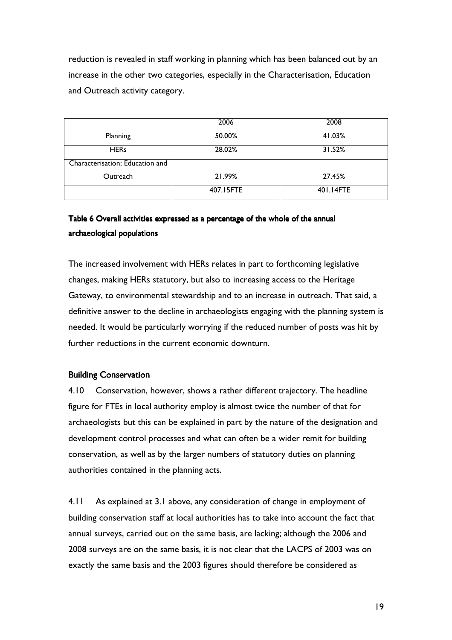reduction is revealed in staff working in planning which has been balanced out by an increase in the other two categories, especially in the Characterisation, Education and Outreach activity category.

|                                 | 2006      | 2008      |
|---------------------------------|-----------|-----------|
| Planning                        | 50.00%    | 41.03%    |
| <b>HERs</b>                     | 28.02%    | 31.52%    |
| Characterisation; Education and |           |           |
| Outreach                        | 21.99%    | 27.45%    |
|                                 | 407.15FTE | 401.14FTE |

## Table 6 Overall activities expressed as a percentage of the whole of the annual archaeological populations

The increased involvement with HERs relates in part to forthcoming legislative changes, making HERs statutory, but also to increasing access to the Heritage Gateway, to environmental stewardship and to an increase in outreach. That said, a definitive answer to the decline in archaeologists engaging with the planning system is needed. It would be particularly worrying if the reduced number of posts was hit by further reductions in the current economic downturn.

### **Building Conservation**

4.10 Conservation, however, shows a rather different trajectory. The headline figure for FTEs in local authority employ is almost twice the number of that for archaeologists but this can be explained in part by the nature of the designation and development control processes and what can often be a wider remit for building conservation, as well as by the larger numbers of statutory duties on planning authorities contained in the planning acts.

4.11 As explained at 3.1 above, any consideration of change in employment of building conservation staff at local authorities has to take into account the fact that annual surveys, carried out on the same basis, are lacking; although the 2006 and 2008 surveys are on the same basis, it is not clear that the LACPS of 2003 was on exactly the same basis and the 2003 figures should therefore be considered as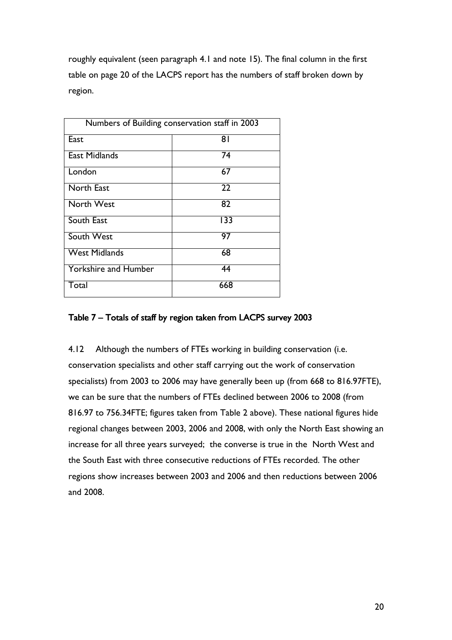roughly equivalent (seen paragraph 4.1 and note 15). The final column in the first table on page 20 of the LACPS report has the numbers of staff broken down by region.

| Numbers of Building conservation staff in 2003 |     |  |  |  |  |  |
|------------------------------------------------|-----|--|--|--|--|--|
| East                                           | 81  |  |  |  |  |  |
| <b>East Midlands</b>                           | 74  |  |  |  |  |  |
| London                                         | 67  |  |  |  |  |  |
| <b>North East</b>                              | 22  |  |  |  |  |  |
| North West                                     | 82  |  |  |  |  |  |
| South East                                     | 133 |  |  |  |  |  |
| South West                                     | 97  |  |  |  |  |  |
| <b>West Midlands</b>                           | 68  |  |  |  |  |  |
| <b>Yorkshire and Humber</b>                    | 44  |  |  |  |  |  |
| Total                                          | 668 |  |  |  |  |  |

### Table 7 – Totals of staff by region taken from LACPS survey 2003

4.12 Although the numbers of FTEs working in building conservation (i.e. conservation specialists and other staff carrying out the work of conservation specialists) from 2003 to 2006 may have generally been up (from 668 to 816.97FTE), we can be sure that the numbers of FTEs declined between 2006 to 2008 (from 816.97 to 756.34FTE; figures taken from Table 2 above). These national figures hide regional changes between 2003, 2006 and 2008, with only the North East showing an increase for all three years surveyed; the converse is true in the North West and the South East with three consecutive reductions of FTEs recorded. The other regions show increases between 2003 and 2006 and then reductions between 2006 and 2008.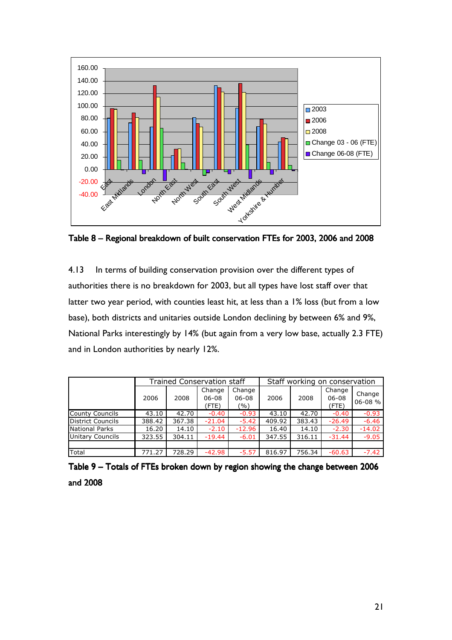

Table 8 – Regional breakdown of built conservation FTEs for 2003, 2006 and 2008

4.13 In terms of building conservation provision over the different types of authorities there is no breakdown for 2003, but all types have lost staff over that latter two year period, with counties least hit, at less than a 1% loss (but from a low base), both districts and unitaries outside London declining by between 6% and 9%, National Parks interestingly by 14% (but again from a very low base, actually 2.3 FTE) and in London authorities by nearly 12%.

|                          |        |        | <b>Trained Conservation staff</b> |                            | Staff working on conservation |        |                              |                       |
|--------------------------|--------|--------|-----------------------------------|----------------------------|-------------------------------|--------|------------------------------|-----------------------|
|                          | 2006   | 2008   | Change<br>$06 - 08$<br>(FTE)      | Change<br>$06 - 08$<br>(%) | 2006                          | 2008   | Change<br>$06 - 08$<br>(FTE) | Change<br>$06 - 08$ % |
| <b>County Councils</b>   | 43.10  | 42.70  | $-0.40$                           | $-0.93$                    | 43.10                         | 42.70  | $-0.40$                      | $-0.93$               |
| <b>District Councils</b> | 388.42 | 367.38 | $-21.04$                          | $-5.42$                    | 409.92                        | 383.43 | $-26.49$                     | $-6.46$               |
| National Parks           | 16.20  | 14.10  | $-2.10$                           | $-12.96$                   | 16.40                         | 14.10  | $-2.30$                      | $-14.02$              |
| Unitary Councils         | 323.55 | 304.11 | $-19.44$                          | $-6.01$                    | 347.55                        | 316.11 | $-31.44$                     | $-9.05$               |
|                          |        |        |                                   |                            |                               |        |                              |                       |
| Total                    | 771.27 | 728.29 | $-42.98$                          | $-5.57$                    | 816.97                        | 756.34 | $-60.63$                     | $-7.42$               |

Table 9 – Totals of FTEs broken down by region showing the change between 2006 and 2008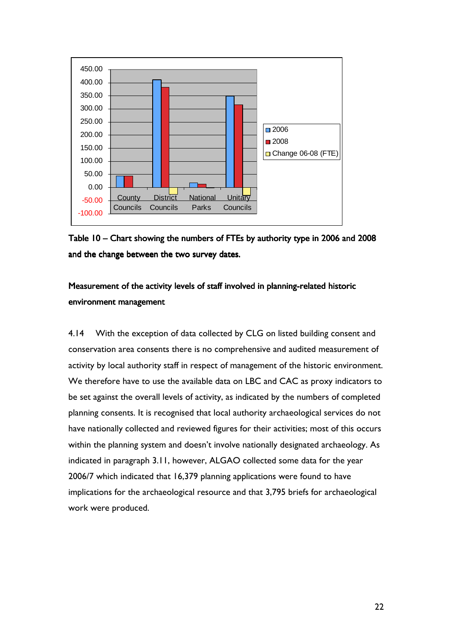

Table 10 – Chart showing the numbers of FTEs by authority type in 2006 and 2008 and the change between the two survey dates.

## Measurement of the activity levels of staff involved in planning-related historic environment management

4.14 With the exception of data collected by CLG on listed building consent and conservation area consents there is no comprehensive and audited measurement of activity by local authority staff in respect of management of the historic environment. We therefore have to use the available data on LBC and CAC as proxy indicators to be set against the overall levels of activity, as indicated by the numbers of completed planning consents. It is recognised that local authority archaeological services do not have nationally collected and reviewed figures for their activities; most of this occurs within the planning system and doesn't involve nationally designated archaeology. As indicated in paragraph 3.11, however, ALGAO collected some data for the year 2006/7 which indicated that 16,379 planning applications were found to have implications for the archaeological resource and that 3,795 briefs for archaeological work were produced.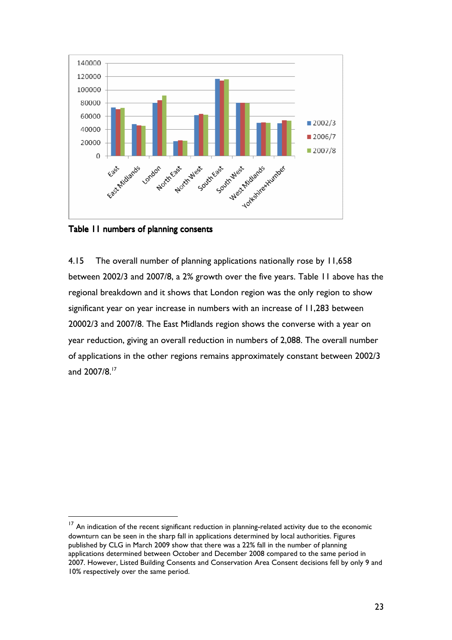

Table 11 numbers of planning consents

 $\overline{a}$ 

4.15 The overall number of planning applications nationally rose by 11,658 between 2002/3 and 2007/8, a 2% growth over the five years. Table 11 above has the regional breakdown and it shows that London region was the only region to show significant year on year increase in numbers with an increase of 11,283 between 20002/3 and 2007/8. The East Midlands region shows the converse with a year on year reduction, giving an overall reduction in numbers of 2,088. The overall number of applications in the other regions remains approximately constant between 2002/3 and 2007/8.<sup>17</sup>

<sup>&</sup>lt;sup>17</sup> An indication of the recent significant reduction in planning-related activity due to the economic downturn can be seen in the sharp fall in applications determined by local authorities. Figures published by CLG in March 2009 show that there was a 22% fall in the number of planning applications determined between October and December 2008 compared to the same period in 2007. However, Listed Building Consents and Conservation Area Consent decisions fell by only 9 and 10% respectively over the same period.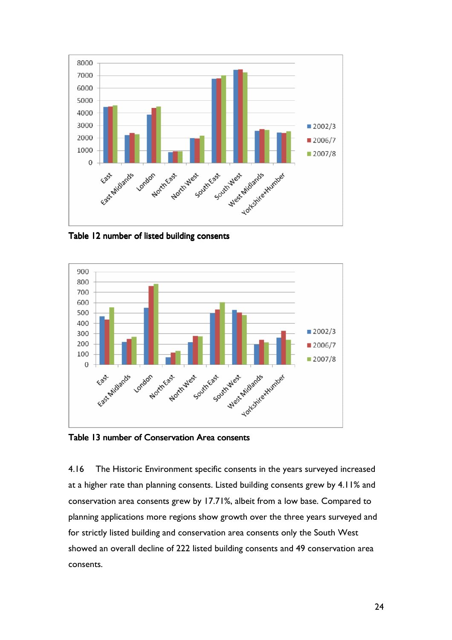

Table 12 number of listed building consents



Table 13 number of Conservation Area consents

4.16 The Historic Environment specific consents in the years surveyed increased at a higher rate than planning consents. Listed building consents grew by 4.11% and conservation area consents grew by 17.71%, albeit from a low base. Compared to planning applications more regions show growth over the three years surveyed and for strictly listed building and conservation area consents only the South West showed an overall decline of 222 listed building consents and 49 conservation area consents.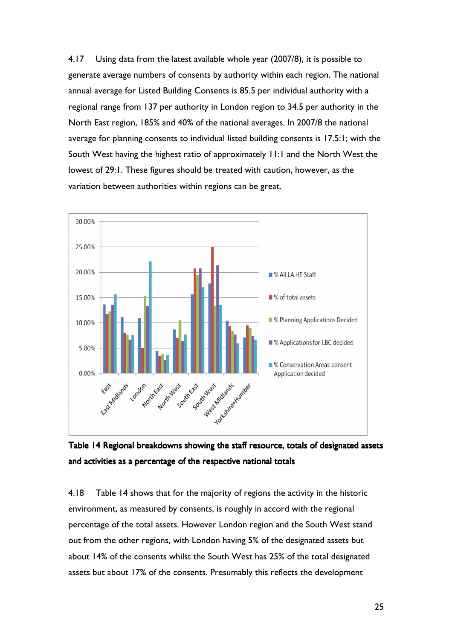4.17 Using data from the latest available whole year (2007/8), it is possible to generate average numbers of consents by authority within each region. The national annual average for Listed Building Consents is 85.5 per individual authority with a regional range from 137 per authority in London region to 34.5 per authority in the North East region, 185% and 40% of the national averages. In 2007/8 the national average for planning consents to individual listed building consents is 17.5:1; with the South West having the highest ratio of approximately 11:1 and the North West the lowest of 29:1. These figures should be treated with caution, however, as the variation between authorities within regions can be great.





4.18 Table 14 shows that for the majority of regions the activity in the historic environment, as measured by consents, is roughly in accord with the regional percentage of the total assets. However London region and the South West stand out from the other regions, with London having 5% of the designated assets but about 14% of the consents whilst the South West has 25% of the total designated assets but about 17% of the consents. Presumably this reflects the development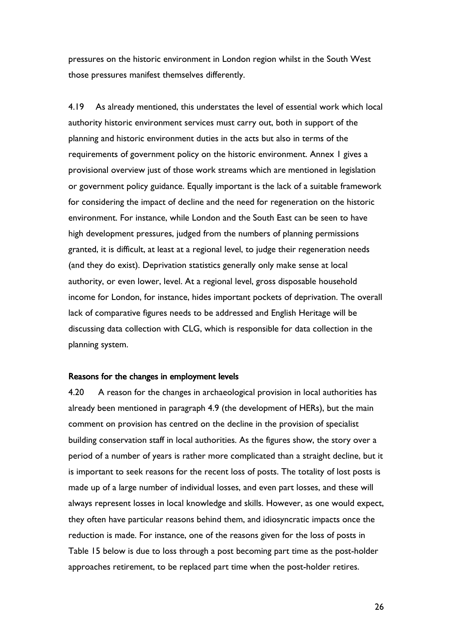pressures on the historic environment in London region whilst in the South West those pressures manifest themselves differently.

4.19 As already mentioned, this understates the level of essential work which local authority historic environment services must carry out, both in support of the planning and historic environment duties in the acts but also in terms of the requirements of government policy on the historic environment. Annex 1 gives a provisional overview just of those work streams which are mentioned in legislation or government policy guidance. Equally important is the lack of a suitable framework for considering the impact of decline and the need for regeneration on the historic environment. For instance, while London and the South East can be seen to have high development pressures, judged from the numbers of planning permissions granted, it is difficult, at least at a regional level, to judge their regeneration needs (and they do exist). Deprivation statistics generally only make sense at local authority, or even lower, level. At a regional level, gross disposable household income for London, for instance, hides important pockets of deprivation. The overall lack of comparative figures needs to be addressed and English Heritage will be discussing data collection with CLG, which is responsible for data collection in the planning system.

#### Reasons for the changes in employment levels

4.20 A reason for the changes in archaeological provision in local authorities has already been mentioned in paragraph 4.9 (the development of HERs), but the main comment on provision has centred on the decline in the provision of specialist building conservation staff in local authorities. As the figures show, the story over a period of a number of years is rather more complicated than a straight decline, but it is important to seek reasons for the recent loss of posts. The totality of lost posts is made up of a large number of individual losses, and even part losses, and these will always represent losses in local knowledge and skills. However, as one would expect, they often have particular reasons behind them, and idiosyncratic impacts once the reduction is made. For instance, one of the reasons given for the loss of posts in Table 15 below is due to loss through a post becoming part time as the post-holder approaches retirement, to be replaced part time when the post-holder retires.

26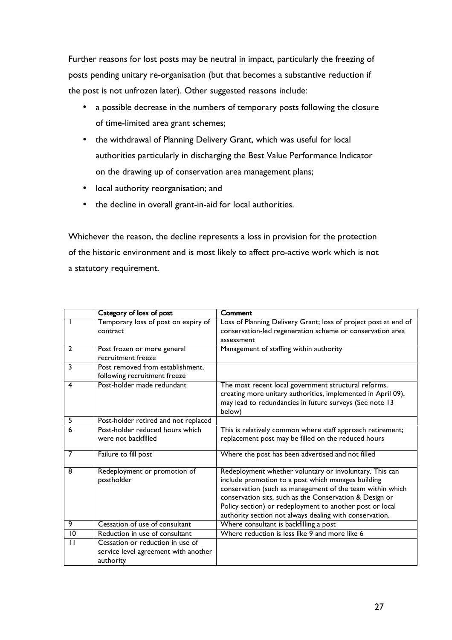Further reasons for lost posts may be neutral in impact, particularly the freezing of posts pending unitary re-organisation (but that becomes a substantive reduction if the post is not unfrozen later). Other suggested reasons include:

- a possible decrease in the numbers of temporary posts following the closure of time-limited area grant schemes;
- the withdrawal of Planning Delivery Grant, which was useful for local authorities particularly in discharging the Best Value Performance Indicator on the drawing up of conservation area management plans;
- local authority reorganisation; and
- the decline in overall grant-in-aid for local authorities.

Whichever the reason, the decline represents a loss in provision for the protection of the historic environment and is most likely to affect pro-active work which is not a statutory requirement.

|                | Category of loss of post                                                              | Comment                                                                                                                                                                                                                                                                                                                                                      |
|----------------|---------------------------------------------------------------------------------------|--------------------------------------------------------------------------------------------------------------------------------------------------------------------------------------------------------------------------------------------------------------------------------------------------------------------------------------------------------------|
|                | Temporary loss of post on expiry of<br>contract                                       | Loss of Planning Delivery Grant; loss of project post at end of<br>conservation-led regeneration scheme or conservation area<br>assessment                                                                                                                                                                                                                   |
| $\overline{2}$ | Post frozen or more general<br>recruitment freeze                                     | Management of staffing within authority                                                                                                                                                                                                                                                                                                                      |
| 3              | Post removed from establishment,<br>following recruitment freeze                      |                                                                                                                                                                                                                                                                                                                                                              |
| 4              | Post-holder made redundant                                                            | The most recent local government structural reforms,<br>creating more unitary authorities, implemented in April 09),<br>may lead to redundancies in future surveys (See note 13<br>below)                                                                                                                                                                    |
| 5              | Post-holder retired and not replaced                                                  |                                                                                                                                                                                                                                                                                                                                                              |
| 6              | Post-holder reduced hours which<br>were not backfilled                                | This is relatively common where staff approach retirement;<br>replacement post may be filled on the reduced hours                                                                                                                                                                                                                                            |
| $\overline{7}$ | Failure to fill post                                                                  | Where the post has been advertised and not filled                                                                                                                                                                                                                                                                                                            |
| 8              | Redeployment or promotion of<br>postholder                                            | Redeployment whether voluntary or involuntary. This can<br>include promotion to a post which manages building<br>conservation (such as management of the team within which<br>conservation sits, such as the Conservation & Design or<br>Policy section) or redeployment to another post or local<br>authority section not always dealing with conservation. |
| 9              | Cessation of use of consultant                                                        | Where consultant is backfilling a post                                                                                                                                                                                                                                                                                                                       |
| 10             | Reduction in use of consultant                                                        | Where reduction is less like 9 and more like 6                                                                                                                                                                                                                                                                                                               |
| $\mathbf{1}$   | Cessation or reduction in use of<br>service level agreement with another<br>authority |                                                                                                                                                                                                                                                                                                                                                              |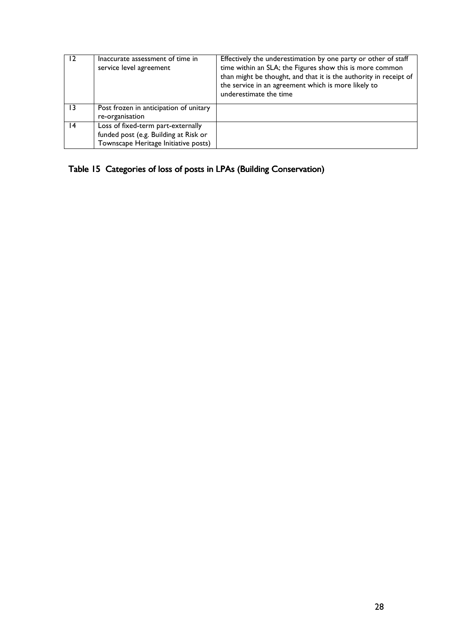|                 | Inaccurate assessment of time in<br>service level agreement                                                         | Effectively the underestimation by one party or other of staff<br>time within an SLA; the Figures show this is more common<br>than might be thought, and that it is the authority in receipt of<br>the service in an agreement which is more likely to<br>underestimate the time |
|-----------------|---------------------------------------------------------------------------------------------------------------------|----------------------------------------------------------------------------------------------------------------------------------------------------------------------------------------------------------------------------------------------------------------------------------|
| $\overline{13}$ | Post frozen in anticipation of unitary<br>re-organisation                                                           |                                                                                                                                                                                                                                                                                  |
| 14              | Loss of fixed-term part-externally<br>funded post (e.g. Building at Risk or<br>Townscape Heritage Initiative posts) |                                                                                                                                                                                                                                                                                  |

Table 15 Categories of loss of posts in LPAs (Building Conservation)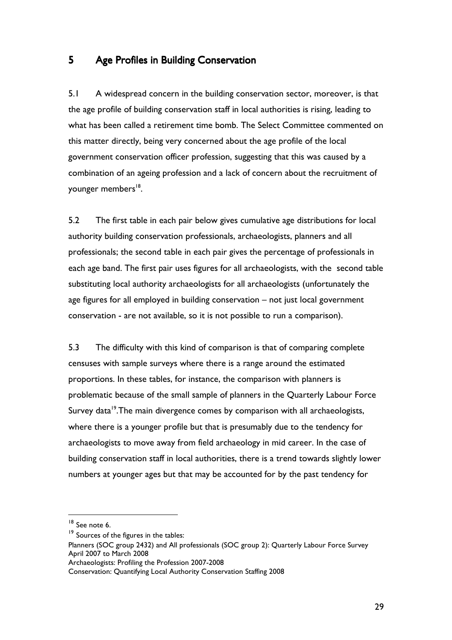### 5 Age Profiles in Building Conservation

5.1 A widespread concern in the building conservation sector, moreover, is that the age profile of building conservation staff in local authorities is rising, leading to what has been called a retirement time bomb. The Select Committee commented on this matter directly, being very concerned about the age profile of the local government conservation officer profession, suggesting that this was caused by a combination of an ageing profession and a lack of concern about the recruitment of younger members<sup>18</sup>.

5.2 The first table in each pair below gives cumulative age distributions for local authority building conservation professionals, archaeologists, planners and all professionals; the second table in each pair gives the percentage of professionals in each age band. The first pair uses figures for all archaeologists, with the second table substituting local authority archaeologists for all archaeologists (unfortunately the age figures for all employed in building conservation – not just local government conservation - are not available, so it is not possible to run a comparison).

5.3 The difficulty with this kind of comparison is that of comparing complete censuses with sample surveys where there is a range around the estimated proportions. In these tables, for instance, the comparison with planners is problematic because of the small sample of planners in the Quarterly Labour Force Survey data<sup>19</sup>. The main divergence comes by comparison with all archaeologists, where there is a younger profile but that is presumably due to the tendency for archaeologists to move away from field archaeology in mid career. In the case of building conservation staff in local authorities, there is a trend towards slightly lower numbers at younger ages but that may be accounted for by the past tendency for

<sup>&</sup>lt;sup>18</sup> See note 6.

 $19$  Sources of the figures in the tables:

Planners (SOC group 2432) and All professionals (SOC group 2): Quarterly Labour Force Survey April 2007 to March 2008

Archaeologists: Profiling the Profession 2007-2008

Conservation: Quantifying Local Authority Conservation Staffing 2008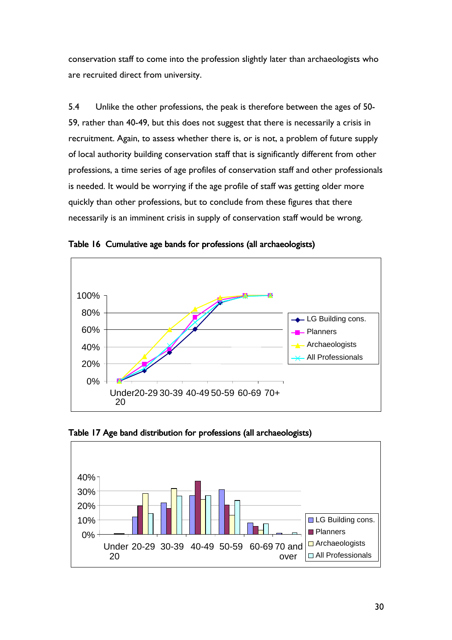conservation staff to come into the profession slightly later than archaeologists who are recruited direct from university.

5.4 Unlike the other professions, the peak is therefore between the ages of 50- 59, rather than 40-49, but this does not suggest that there is necessarily a crisis in recruitment. Again, to assess whether there is, or is not, a problem of future supply of local authority building conservation staff that is significantly different from other professions, a time series of age profiles of conservation staff and other professionals is needed. It would be worrying if the age profile of staff was getting older more quickly than other professions, but to conclude from these figures that there necessarily is an imminent crisis in supply of conservation staff would be wrong.



Table 16 Cumulative age bands for professions (all archaeologists)



Table 17 Age band distribution for professions (all archaeologists)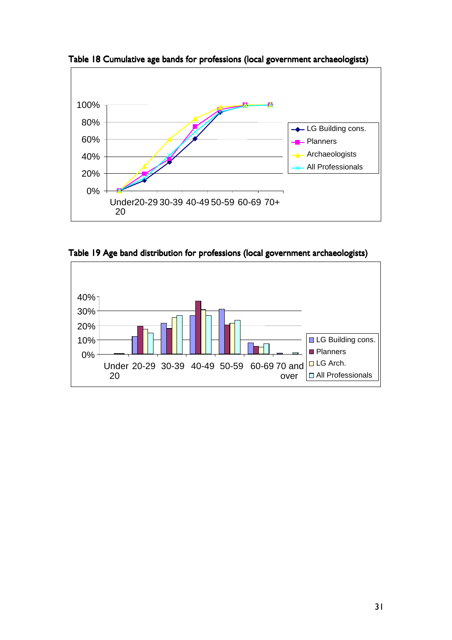

Table 18 Cumulative age bands for professions (local government archaeologists)

Table 19 Age band distribution for professions (local government archaeologists)

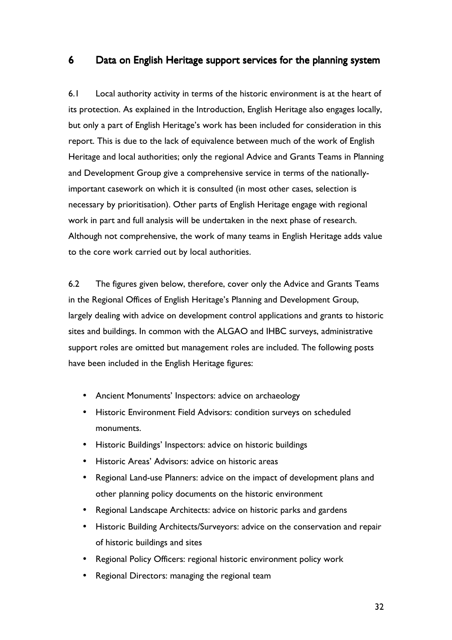## 6 Data on English Heritage support services for the planning system

6.1 Local authority activity in terms of the historic environment is at the heart of its protection. As explained in the Introduction, English Heritage also engages locally, but only a part of English Heritage's work has been included for consideration in this report. This is due to the lack of equivalence between much of the work of English Heritage and local authorities; only the regional Advice and Grants Teams in Planning and Development Group give a comprehensive service in terms of the nationallyimportant casework on which it is consulted (in most other cases, selection is necessary by prioritisation). Other parts of English Heritage engage with regional work in part and full analysis will be undertaken in the next phase of research. Although not comprehensive, the work of many teams in English Heritage adds value to the core work carried out by local authorities.

6.2 The figures given below, therefore, cover only the Advice and Grants Teams in the Regional Offices of English Heritage's Planning and Development Group, largely dealing with advice on development control applications and grants to historic sites and buildings. In common with the ALGAO and IHBC surveys, administrative support roles are omitted but management roles are included. The following posts have been included in the English Heritage figures:

- Ancient Monuments' Inspectors: advice on archaeology
- Historic Environment Field Advisors: condition surveys on scheduled monuments.
- Historic Buildings' Inspectors: advice on historic buildings
- Historic Areas' Advisors: advice on historic areas
- Regional Land-use Planners: advice on the impact of development plans and other planning policy documents on the historic environment
- Regional Landscape Architects: advice on historic parks and gardens
- Historic Building Architects/Surveyors: advice on the conservation and repair of historic buildings and sites
- Regional Policy Officers: regional historic environment policy work
- Regional Directors: managing the regional team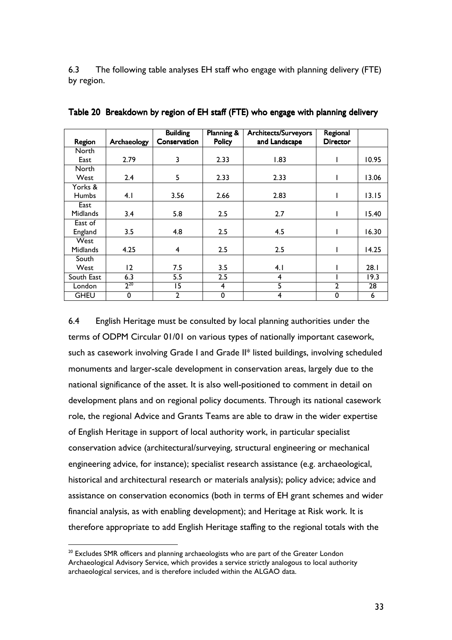6.3 The following table analyses EH staff who engage with planning delivery (FTE) by region.

|                 |             | <b>Building</b>  | <b>Planning &amp;</b> | <b>Architects/Surveyors</b> | Regional        |       |
|-----------------|-------------|------------------|-----------------------|-----------------------------|-----------------|-------|
| Region          | Archaeology | Conservation     | <b>Policy</b>         | and Landscape               | <b>Director</b> |       |
| <b>North</b>    |             |                  |                       |                             |                 |       |
| East            | 2.79        | 3                | 2.33                  | 1.83                        |                 | 10.95 |
| North           |             |                  |                       |                             |                 |       |
| West            | 2.4         | 5                | 2.33                  | 2.33                        |                 | 13.06 |
| Yorks &         |             |                  |                       |                             |                 |       |
| <b>Humbs</b>    | 4.1         | 3.56             | 2.66                  | 2.83                        |                 | 13.15 |
| East            |             |                  |                       |                             |                 |       |
| <b>Midlands</b> | 3.4         | 5.8              | 2.5                   | 2.7                         |                 | 15.40 |
| East of         |             |                  |                       |                             |                 |       |
| England         | 3.5         | 4.8              | 2.5                   | 4.5                         |                 | 16.30 |
| West            |             |                  |                       |                             |                 |       |
| <b>Midlands</b> | 4.25        | $\overline{4}$   | 2.5                   | 2.5                         |                 | 14.25 |
| South           |             |                  |                       |                             |                 |       |
| West            | 12          | 7.5              | 3.5                   | 4.1                         |                 | 28.1  |
| South East      | 6.3         | $\overline{5.5}$ | $\overline{2.5}$      | 4                           |                 | 19.3  |
| London          | $2^{20}$    | 15               | 4                     | 5                           | $\overline{2}$  | 28    |
| <b>GHEU</b>     | 0           | $\overline{2}$   | $\mathbf 0$           | 4                           | 0               | 6     |

Table 20 Breakdown by region of EH staff (FTE) who engage with planning delivery

6.4 English Heritage must be consulted by local planning authorities under the terms of ODPM Circular 01/01 on various types of nationally important casework, such as casework involving Grade I and Grade II\* listed buildings, involving scheduled monuments and larger-scale development in conservation areas, largely due to the national significance of the asset. It is also well-positioned to comment in detail on development plans and on regional policy documents. Through its national casework role, the regional Advice and Grants Teams are able to draw in the wider expertise of English Heritage in support of local authority work, in particular specialist conservation advice (architectural/surveying, structural engineering or mechanical engineering advice, for instance); specialist research assistance (e.g. archaeological, historical and architectural research or materials analysis); policy advice; advice and assistance on conservation economics (both in terms of EH grant schemes and wider financial analysis, as with enabling development); and Heritage at Risk work. It is therefore appropriate to add English Heritage staffing to the regional totals with the

<sup>&</sup>lt;sup>20</sup> Excludes SMR officers and planning archaeologists who are part of the Greater London Archaeological Advisory Service, which provides a service strictly analogous to local authority archaeological services, and is therefore included within the ALGAO data.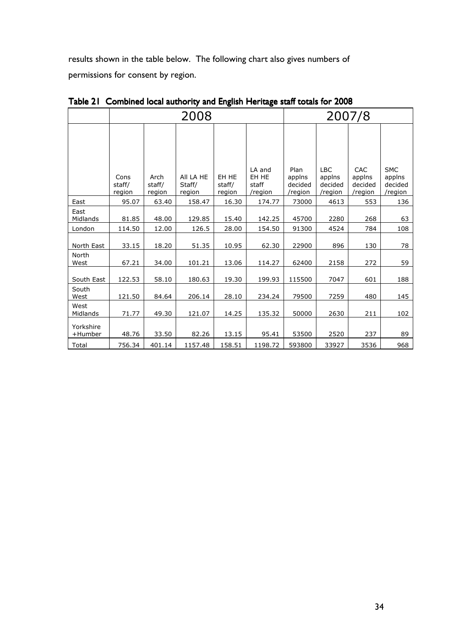results shown in the table below. The following chart also gives numbers of permissions for consent by region.

|                      | 2008                     |                          |                               |                           | 2007/8                              |                                      |                                            |                                     |                                            |
|----------------------|--------------------------|--------------------------|-------------------------------|---------------------------|-------------------------------------|--------------------------------------|--------------------------------------------|-------------------------------------|--------------------------------------------|
|                      | Cons<br>staff/<br>region | Arch<br>staff/<br>region | All LA HE<br>Staff/<br>region | EH HE<br>staff/<br>region | LA and<br>EH HE<br>staff<br>/region | Plan<br>applns<br>decided<br>/region | <b>LBC</b><br>applns<br>decided<br>/region | CAC<br>applns<br>decided<br>/region | <b>SMC</b><br>applns<br>decided<br>/region |
| East                 | 95.07                    | 63.40                    | 158.47                        | 16.30                     | 174.77                              | 73000                                | 4613                                       | 553                                 | 136                                        |
| East<br>Midlands     | 81.85                    | 48.00                    | 129.85                        | 15.40                     | 142.25                              | 45700                                | 2280                                       | 268                                 | 63                                         |
| London               | 114.50                   | 12.00                    | 126.5                         | 28.00                     | 154.50                              | 91300                                | 4524                                       | 784                                 | 108                                        |
| North East           | 33.15                    | 18.20                    | 51.35                         | 10.95                     | 62.30                               | 22900                                | 896                                        | 130                                 | 78                                         |
| North<br>West        | 67.21                    | 34.00                    | 101.21                        | 13.06                     | 114.27                              | 62400                                | 2158                                       | 272                                 | 59                                         |
| South East           | 122.53                   | 58.10                    | 180.63                        | 19.30                     | 199.93                              | 115500                               | 7047                                       | 601                                 | 188                                        |
| South<br>West        | 121.50                   | 84.64                    | 206.14                        | 28.10                     | 234.24                              | 79500                                | 7259                                       | 480                                 | 145                                        |
| West<br>Midlands     | 71.77                    | 49.30                    | 121.07                        | 14.25                     | 135.32                              | 50000                                | 2630                                       | 211                                 | 102                                        |
| Yorkshire<br>+Humber | 48.76                    | 33.50                    | 82.26                         | 13.15                     | 95.41                               | 53500                                | 2520                                       | 237                                 | 89                                         |
| Total                | 756.34                   | 401.14                   | 1157.48                       | 158.51                    | 1198.72                             | 593800                               | 33927                                      | 3536                                | 968                                        |

Table 21 Combined local authority and English Heritage staff totals for 2008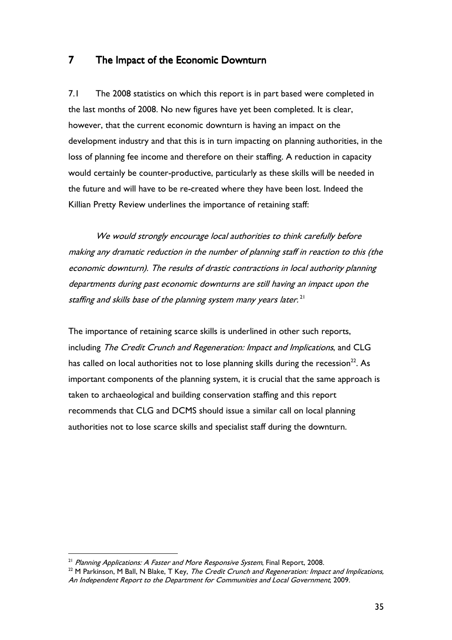## 7 The Impact of the Economic Downturn

7.1 The 2008 statistics on which this report is in part based were completed in the last months of 2008. No new figures have yet been completed. It is clear, however, that the current economic downturn is having an impact on the development industry and that this is in turn impacting on planning authorities, in the loss of planning fee income and therefore on their staffing. A reduction in capacity would certainly be counter-productive, particularly as these skills will be needed in the future and will have to be re-created where they have been lost. Indeed the Killian Pretty Review underlines the importance of retaining staff:

We would strongly encourage local authorities to think carefully before making any dramatic reduction in the number of planning staff in reaction to this (the economic downturn). The results of drastic contractions in local authority planning departments during past economic downturns are still having an impact upon the staffing and skills base of the planning system many years later. $^{\mathsf{21}}$ 

The importance of retaining scarce skills is underlined in other such reports, including The Credit Crunch and Regeneration: Impact and Implications, and CLG has called on local authorities not to lose planning skills during the recession<sup>22</sup>. As important components of the planning system, it is crucial that the same approach is taken to archaeological and building conservation staffing and this report recommends that CLG and DCMS should issue a similar call on local planning authorities not to lose scarce skills and specialist staff during the downturn.

 $21$  Planning Applications: A Faster and More Responsive System, Final Report, 2008.

 $22$  M Parkinson, M Ball, N Blake, T Key, The Credit Crunch and Regeneration: Impact and Implications, An Independent Report to the Department for Communities and Local Government, 2009.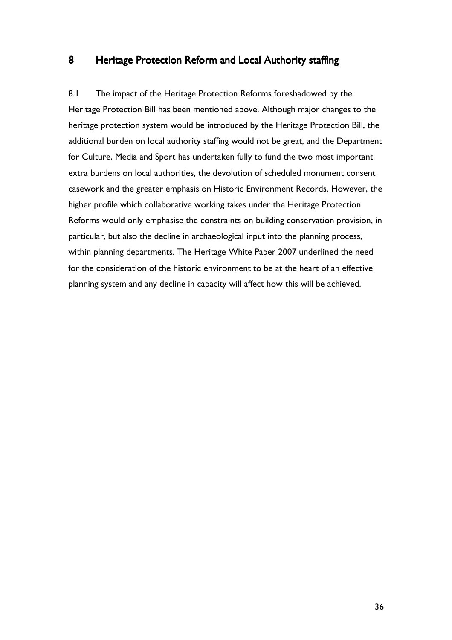## 8 Heritage Protection Reform and Local Authority staffing

8.1 The impact of the Heritage Protection Reforms foreshadowed by the Heritage Protection Bill has been mentioned above. Although major changes to the heritage protection system would be introduced by the Heritage Protection Bill, the additional burden on local authority staffing would not be great, and the Department for Culture, Media and Sport has undertaken fully to fund the two most important extra burdens on local authorities, the devolution of scheduled monument consent casework and the greater emphasis on Historic Environment Records. However, the higher profile which collaborative working takes under the Heritage Protection Reforms would only emphasise the constraints on building conservation provision, in particular, but also the decline in archaeological input into the planning process, within planning departments. The Heritage White Paper 2007 underlined the need for the consideration of the historic environment to be at the heart of an effective planning system and any decline in capacity will affect how this will be achieved.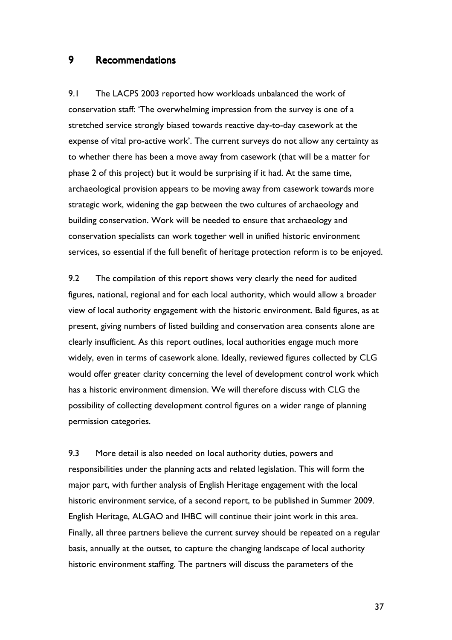## 9 Recommendations

9.1 The LACPS 2003 reported how workloads unbalanced the work of conservation staff: 'The overwhelming impression from the survey is one of a stretched service strongly biased towards reactive day-to-day casework at the expense of vital pro-active work'. The current surveys do not allow any certainty as to whether there has been a move away from casework (that will be a matter for phase 2 of this project) but it would be surprising if it had. At the same time, archaeological provision appears to be moving away from casework towards more strategic work, widening the gap between the two cultures of archaeology and building conservation. Work will be needed to ensure that archaeology and conservation specialists can work together well in unified historic environment services, so essential if the full benefit of heritage protection reform is to be enjoyed.

9.2 The compilation of this report shows very clearly the need for audited figures, national, regional and for each local authority, which would allow a broader view of local authority engagement with the historic environment. Bald figures, as at present, giving numbers of listed building and conservation area consents alone are clearly insufficient. As this report outlines, local authorities engage much more widely, even in terms of casework alone. Ideally, reviewed figures collected by CLG would offer greater clarity concerning the level of development control work which has a historic environment dimension. We will therefore discuss with CLG the possibility of collecting development control figures on a wider range of planning permission categories.

9.3 More detail is also needed on local authority duties, powers and responsibilities under the planning acts and related legislation. This will form the major part, with further analysis of English Heritage engagement with the local historic environment service, of a second report, to be published in Summer 2009. English Heritage, ALGAO and IHBC will continue their joint work in this area. Finally, all three partners believe the current survey should be repeated on a regular basis, annually at the outset, to capture the changing landscape of local authority historic environment staffing. The partners will discuss the parameters of the

37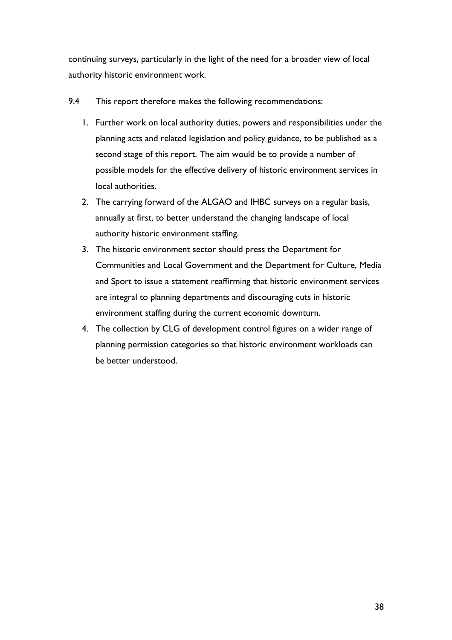continuing surveys, particularly in the light of the need for a broader view of local authority historic environment work.

- 9.4 This report therefore makes the following recommendations:
	- 1. Further work on local authority duties, powers and responsibilities under the planning acts and related legislation and policy guidance, to be published as a second stage of this report. The aim would be to provide a number of possible models for the effective delivery of historic environment services in local authorities.
	- 2. The carrying forward of the ALGAO and IHBC surveys on a regular basis, annually at first, to better understand the changing landscape of local authority historic environment staffing.
	- 3. The historic environment sector should press the Department for Communities and Local Government and the Department for Culture, Media and Sport to issue a statement reaffirming that historic environment services are integral to planning departments and discouraging cuts in historic environment staffing during the current economic downturn.
	- 4. The collection by CLG of development control figures on a wider range of planning permission categories so that historic environment workloads can be better understood.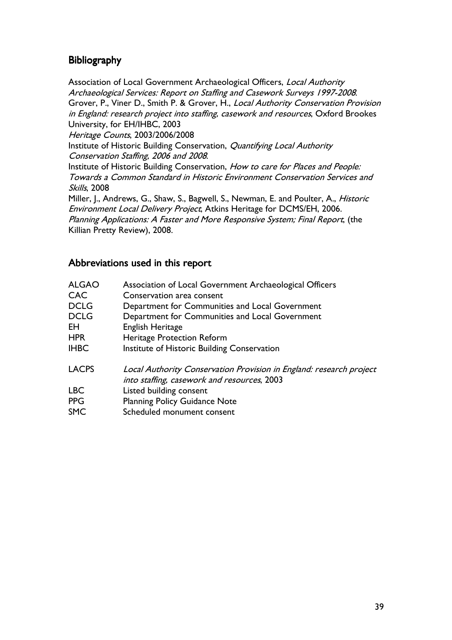## **Bibliography**

Association of Local Government Archaeological Officers, Local Authority Archaeological Services: Report on Staffing and Casework Surveys 1997-2008. Grover, P., Viner D., Smith P. & Grover, H., Local Authority Conservation Provision in England: research project into staffing, casework and resources, Oxford Brookes University, for EH/IHBC, 2003 Heritage Counts, 2003/2006/2008 Institute of Historic Building Conservation, Quantifying Local Authority Conservation Staffing, 2006 and 2008. Institute of Historic Building Conservation, How to care for Places and People: Towards a Common Standard in Historic Environment Conservation Services and Skills, 2008 Miller, J., Andrews, G., Shaw, S., Bagwell, S., Newman, E. and Poulter, A., *Historic* Environment Local Delivery Project, Atkins Heritage for DCMS/EH, 2006. Planning Applications: A Faster and More Responsive System; Final Report, (the Killian Pretty Review), 2008.

## Abbreviations used in this report

| <b>ALGAO</b> | Association of Local Government Archaeological Officers                                                            |
|--------------|--------------------------------------------------------------------------------------------------------------------|
| <b>CAC</b>   | Conservation area consent                                                                                          |
| <b>DCLG</b>  | Department for Communities and Local Government                                                                    |
| <b>DCLG</b>  | Department for Communities and Local Government                                                                    |
| ΕH           | English Heritage                                                                                                   |
| <b>HPR</b>   | Heritage Protection Reform                                                                                         |
| <b>IHBC</b>  | Institute of Historic Building Conservation                                                                        |
| <b>LACPS</b> | Local Authority Conservation Provision in England: research project<br>into staffing, casework and resources, 2003 |
| <b>LBC</b>   | Listed building consent                                                                                            |
| <b>PPG</b>   | <b>Planning Policy Guidance Note</b>                                                                               |
| <b>SMC</b>   | Scheduled monument consent                                                                                         |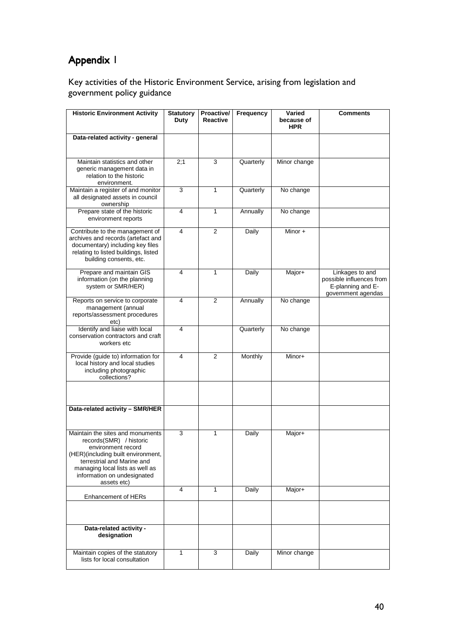# Appendix 1

Key activities of the Historic Environment Service, arising from legislation and government policy guidance

| <b>Historic Environment Activity</b>                                                                                                                                                                                                   | <b>Statutory</b><br>Duty | Proactive/<br><b>Reactive</b> | Frequency | Varied<br>because of | <b>Comments</b>                                                                        |
|----------------------------------------------------------------------------------------------------------------------------------------------------------------------------------------------------------------------------------------|--------------------------|-------------------------------|-----------|----------------------|----------------------------------------------------------------------------------------|
|                                                                                                                                                                                                                                        |                          |                               |           | <b>HPR</b>           |                                                                                        |
| Data-related activity - general                                                                                                                                                                                                        |                          |                               |           |                      |                                                                                        |
|                                                                                                                                                                                                                                        |                          |                               |           |                      |                                                                                        |
| Maintain statistics and other<br>generic management data in<br>relation to the historic<br>environment.                                                                                                                                | 2:1                      | 3                             | Quarterly | Minor change         |                                                                                        |
| Maintain a register of and monitor<br>all designated assets in council<br>ownership                                                                                                                                                    | 3                        | 1                             | Quarterly | No change            |                                                                                        |
| Prepare state of the historic<br>environment reports                                                                                                                                                                                   | 4                        | $\mathbf{1}$                  | Annually  | No change            |                                                                                        |
| Contribute to the management of<br>archives and records (artefact and<br>documentary) including key files<br>relating to listed buildings, listed<br>building consents, etc.                                                           | $\overline{\mathcal{A}}$ | $\overline{2}$                | Daily     | Minor $+$            |                                                                                        |
| Prepare and maintain GIS<br>information (on the planning<br>system or SMR/HER)                                                                                                                                                         | 4                        | 1                             | Daily     | Major+               | Linkages to and<br>possible influences from<br>E-planning and E-<br>government agendas |
| Reports on service to corporate<br>management (annual<br>reports/assessment procedures<br>etc)                                                                                                                                         | 4                        | 2                             | Annually  | No change            |                                                                                        |
| Identify and liaise with local<br>conservation contractors and craft<br>workers etc                                                                                                                                                    | 4                        |                               | Quarterly | No change            |                                                                                        |
| Provide (guide to) information for<br>local history and local studies<br>including photographic<br>collections?                                                                                                                        | $\overline{\mathbf{4}}$  | $\overline{2}$                | Monthly   | Minor+               |                                                                                        |
|                                                                                                                                                                                                                                        |                          |                               |           |                      |                                                                                        |
| Data-related activity - SMR/HER                                                                                                                                                                                                        |                          |                               |           |                      |                                                                                        |
| Maintain the sites and monuments<br>records(SMR) / historic<br>environment record<br>(HER)(including built environment,<br>terrestrial and Marine and<br>managing local lists as well as<br>information on undesignated<br>assets etc) | 3                        | 1                             | Daily     | Major+               |                                                                                        |
| Enhancement of HERs                                                                                                                                                                                                                    | 4                        | $\mathbf{1}$                  | Daily     | Major+               |                                                                                        |
|                                                                                                                                                                                                                                        |                          |                               |           |                      |                                                                                        |
| Data-related activity -<br>designation                                                                                                                                                                                                 |                          |                               |           |                      |                                                                                        |
| Maintain copies of the statutory<br>lists for local consultation                                                                                                                                                                       | 1                        | 3                             | Daily     | Minor change         |                                                                                        |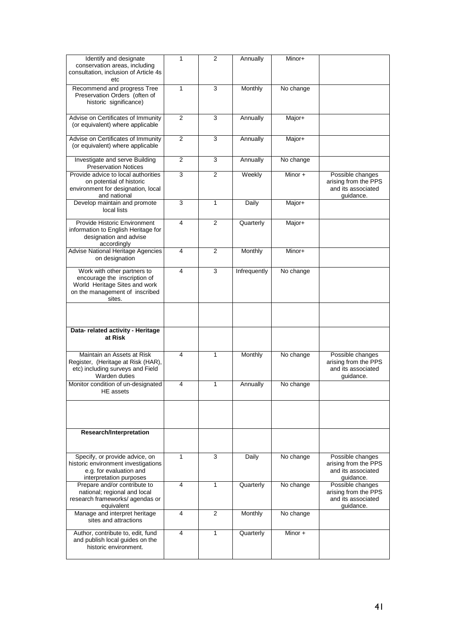| Identify and designate                                               | 1              | 2              | Annually     | Minor+                      |                      |
|----------------------------------------------------------------------|----------------|----------------|--------------|-----------------------------|----------------------|
| conservation areas, including                                        |                |                |              |                             |                      |
| consultation, inclusion of Article 4s                                |                |                |              |                             |                      |
| etc                                                                  |                |                |              |                             |                      |
| Recommend and progress Tree                                          | 1              | 3              | Monthly      | No change                   |                      |
| Preservation Orders (often of                                        |                |                |              |                             |                      |
| historic significance)                                               |                |                |              |                             |                      |
|                                                                      |                |                |              |                             |                      |
| Advise on Certificates of Immunity                                   | $\overline{2}$ | 3              | Annually     | Major+                      |                      |
| (or equivalent) where applicable                                     |                |                |              |                             |                      |
|                                                                      |                |                |              |                             |                      |
| Advise on Certificates of Immunity                                   | $\overline{2}$ | 3              | Annually     | Major+                      |                      |
| (or equivalent) where applicable                                     |                |                |              |                             |                      |
|                                                                      |                |                |              |                             |                      |
| Investigate and serve Building                                       | 2              | 3              | Annually     | No change                   |                      |
| <b>Preservation Notices</b>                                          |                |                |              |                             |                      |
| Provide advice to local authorities                                  | 3              | $\overline{2}$ | Weekly       | $\overline{\text{Minor}}$ + | Possible changes     |
| on potential of historic                                             |                |                |              |                             | arising from the PPS |
| environment for designation, local                                   |                |                |              |                             | and its associated   |
| and national                                                         |                |                |              |                             | quidance.            |
| Develop maintain and promote                                         | 3              | 1              | Daily        | Major+                      |                      |
| local lists                                                          |                |                |              |                             |                      |
|                                                                      |                |                |              |                             |                      |
| Provide Historic Environment                                         | 4              | $\overline{2}$ | Quarterly    | Major+                      |                      |
| information to English Heritage for                                  |                |                |              |                             |                      |
| designation and advise                                               |                |                |              |                             |                      |
| accordingly                                                          |                |                |              |                             |                      |
| Advise National Heritage Agencies                                    | 4              | 2              | Monthly      | Minor+                      |                      |
| on designation                                                       |                |                |              |                             |                      |
| Work with other partners to                                          | 4              | 3              | Infrequently | No change                   |                      |
| encourage the inscription of                                         |                |                |              |                             |                      |
| World Heritage Sites and work                                        |                |                |              |                             |                      |
| on the management of inscribed                                       |                |                |              |                             |                      |
| sites.                                                               |                |                |              |                             |                      |
|                                                                      |                |                |              |                             |                      |
|                                                                      |                |                |              |                             |                      |
|                                                                      |                |                |              |                             |                      |
|                                                                      |                |                |              |                             |                      |
|                                                                      |                |                |              |                             |                      |
| Data- related activity - Heritage                                    |                |                |              |                             |                      |
| at Risk                                                              |                |                |              |                             |                      |
|                                                                      |                |                |              |                             |                      |
| Maintain an Assets at Risk                                           | 4              | 1              | Monthly      | No change                   | Possible changes     |
| Register, (Heritage at Risk (HAR),                                   |                |                |              |                             | arising from the PPS |
| etc) including surveys and Field                                     |                |                |              |                             | and its associated   |
| Warden duties                                                        |                |                |              |                             | guidance.            |
| Monitor condition of un-designated                                   | 4              | 1              | Annually     | No change                   |                      |
| HE assets                                                            |                |                |              |                             |                      |
|                                                                      |                |                |              |                             |                      |
|                                                                      |                |                |              |                             |                      |
|                                                                      |                |                |              |                             |                      |
|                                                                      |                |                |              |                             |                      |
|                                                                      |                |                |              |                             |                      |
| <b>Research/Interpretation</b>                                       |                |                |              |                             |                      |
|                                                                      |                |                |              |                             |                      |
|                                                                      |                |                |              |                             |                      |
| Specify, or provide advice, on                                       | 1              | 3              | Daily        | No change                   | Possible changes     |
| historic environment investigations                                  |                |                |              |                             | arising from the PPS |
| e.g. for evaluation and                                              |                |                |              |                             | and its associated   |
| interpretation purposes                                              |                |                |              |                             | guidance.            |
| Prepare and/or contribute to                                         | 4              | 1              | Quarterly    | No change                   | Possible changes     |
| national; regional and local                                         |                |                |              |                             | arising from the PPS |
| research frameworks/agendas or                                       |                |                |              |                             | and its associated   |
| equivalent                                                           |                |                |              |                             | quidance.            |
| Manage and interpret heritage                                        | 4              | 2              | Monthly      | No change                   |                      |
| sites and attractions                                                |                |                |              |                             |                      |
|                                                                      | 4              | 1              |              | Minor $+$                   |                      |
| Author, contribute to, edit, fund<br>and publish local guides on the |                |                | Quarterly    |                             |                      |
| historic environment.                                                |                |                |              |                             |                      |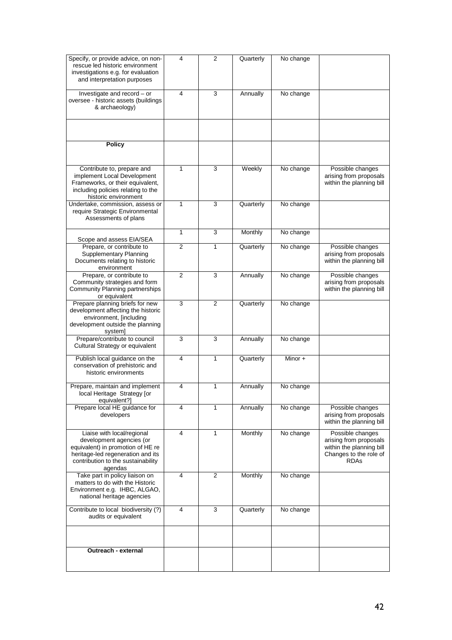| Specify, or provide advice, on non-                                    | 4              | 2 | Quarterly | No change |                                            |
|------------------------------------------------------------------------|----------------|---|-----------|-----------|--------------------------------------------|
| rescue led historic environment                                        |                |   |           |           |                                            |
| investigations e.g. for evaluation<br>and interpretation purposes      |                |   |           |           |                                            |
|                                                                        |                |   |           |           |                                            |
| Investigate and record - or                                            | 4              | 3 | Annually  | No change |                                            |
| oversee - historic assets (buildings                                   |                |   |           |           |                                            |
| & archaeology)                                                         |                |   |           |           |                                            |
|                                                                        |                |   |           |           |                                            |
|                                                                        |                |   |           |           |                                            |
|                                                                        |                |   |           |           |                                            |
| <b>Policy</b>                                                          |                |   |           |           |                                            |
|                                                                        |                |   |           |           |                                            |
|                                                                        |                |   |           |           |                                            |
| Contribute to, prepare and                                             | $\mathbf{1}$   | 3 | Weekly    | No change | Possible changes                           |
| implement Local Development                                            |                |   |           |           | arising from proposals                     |
| Frameworks, or their equivalent,<br>including policies relating to the |                |   |           |           | within the planning bill                   |
| historic environment                                                   |                |   |           |           |                                            |
| Undertake, commission, assess or                                       | $\mathbf{1}$   | 3 | Quarterly | No change |                                            |
| require Strategic Environmental                                        |                |   |           |           |                                            |
| Assessments of plans                                                   |                |   |           |           |                                            |
|                                                                        | $\mathbf{1}$   | 3 | Monthly   | No change |                                            |
| Scope and assess EIA/SEA                                               |                |   |           |           |                                            |
| Prepare, or contribute to                                              | 2              | 1 | Quarterly | No change | Possible changes                           |
| Supplementary Planning                                                 |                |   |           |           | arising from proposals                     |
| Documents relating to historic                                         |                |   |           |           | within the planning bill                   |
| environment                                                            | $\overline{2}$ | 3 |           |           |                                            |
| Prepare, or contribute to<br>Community strategies and form             |                |   | Annually  | No change | Possible changes<br>arising from proposals |
| Community Planning partnerships                                        |                |   |           |           | within the planning bill                   |
| or equivalent                                                          |                |   |           |           |                                            |
| Prepare planning briefs for new                                        | 3              | 2 | Quarterly | No change |                                            |
| development affecting the historic                                     |                |   |           |           |                                            |
| environment, [including<br>development outside the planning            |                |   |           |           |                                            |
| system]                                                                |                |   |           |           |                                            |
| Prepare/contribute to council                                          | 3              | 3 | Annually  | No change |                                            |
| Cultural Strategy or equivalent                                        |                |   |           |           |                                            |
| Publish local guidance on the                                          | 4              | 1 | Quarterly | Minor +   |                                            |
| conservation of prehistoric and                                        |                |   |           |           |                                            |
| historic environments                                                  |                |   |           |           |                                            |
|                                                                        |                |   |           |           |                                            |
| Prepare, maintain and implement                                        | 4              | 1 | Annually  | No change |                                            |
| local Heritage Strategy [or<br>equivalent?]                            |                |   |           |           |                                            |
| Prepare local HE guidance for                                          | 4              | 1 | Annually  | No change | Possible changes                           |
| developers                                                             |                |   |           |           | arising from proposals                     |
|                                                                        |                |   |           |           | within the planning bill                   |
| Liaise with local/regional                                             | 4              | 1 | Monthly   | No change | Possible changes                           |
| development agencies (or                                               |                |   |           |           | arising from proposals                     |
| equivalent) in promotion of HE re                                      |                |   |           |           | within the planning bill                   |
| heritage-led regeneration and its                                      |                |   |           |           | Changes to the role of                     |
| contribution to the sustainability<br>agendas                          |                |   |           |           | <b>RDAs</b>                                |
| Take part in policy liaison on                                         | 4              | 2 | Monthly   | No change |                                            |
| matters to do with the Historic                                        |                |   |           |           |                                            |
| Environment e.g. IHBC, ALGAO,                                          |                |   |           |           |                                            |
| national heritage agencies                                             |                |   |           |           |                                            |
| Contribute to local biodiversity (?)                                   | 4              | 3 | Quarterly | No change |                                            |
| audits or equivalent                                                   |                |   |           |           |                                            |
|                                                                        |                |   |           |           |                                            |
|                                                                        |                |   |           |           |                                            |
|                                                                        |                |   |           |           |                                            |
| Outreach - external                                                    |                |   |           |           |                                            |
|                                                                        |                |   |           |           |                                            |
|                                                                        |                |   |           |           |                                            |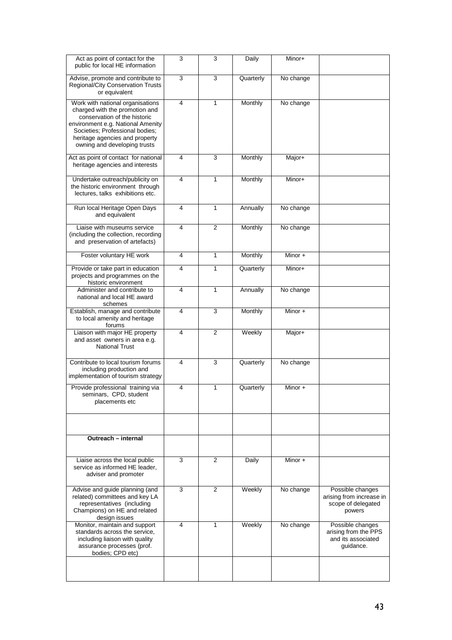| Act as point of contact for the<br>public for local HE information                                                                                                                                                                           | 3                       | 3              | Daily     | Minor+    |                                                                              |
|----------------------------------------------------------------------------------------------------------------------------------------------------------------------------------------------------------------------------------------------|-------------------------|----------------|-----------|-----------|------------------------------------------------------------------------------|
| Advise, promote and contribute to<br><b>Regional/City Conservation Trusts</b><br>or equivalent                                                                                                                                               | 3                       | 3              | Quarterly | No change |                                                                              |
| Work with national organisations<br>charged with the promotion and<br>conservation of the historic<br>environment e.g. National Amenity<br>Societies; Professional bodies;<br>heritage agencies and property<br>owning and developing trusts | 4                       | 1              | Monthly   | No change |                                                                              |
| Act as point of contact for national<br>heritage agencies and interests                                                                                                                                                                      | 4                       | 3              | Monthly   | Major+    |                                                                              |
| Undertake outreach/publicity on<br>the historic environment through<br>lectures, talks exhibitions etc.                                                                                                                                      | $\overline{\mathbf{4}}$ | 1              | Monthly   | Minor+    |                                                                              |
| Run local Heritage Open Days<br>and equivalent                                                                                                                                                                                               | 4                       | 1              | Annually  | No change |                                                                              |
| Liaise with museums service<br>(including the collection, recording<br>and preservation of artefacts)                                                                                                                                        | $\overline{4}$          | $\overline{2}$ | Monthly   | No change |                                                                              |
| Foster voluntary HE work                                                                                                                                                                                                                     | 4                       | 1              | Monthly   | Minor $+$ |                                                                              |
| Provide or take part in education<br>projects and programmes on the<br>historic environment                                                                                                                                                  | $\overline{\mathbf{4}}$ | 1              | Quarterly | Minor+    |                                                                              |
| Administer and contribute to<br>national and local HE award<br>schemes                                                                                                                                                                       | 4                       | 1              | Annually  | No change |                                                                              |
| Establish, manage and contribute<br>to local amenity and heritage<br>forums                                                                                                                                                                  | 4                       | 3              | Monthly   | Minor $+$ |                                                                              |
| Liaison with major HE property<br>and asset owners in area e.g.<br><b>National Trust</b>                                                                                                                                                     | 4                       | 2              | Weekly    | Major+    |                                                                              |
| Contribute to local tourism forums<br>including production and<br>implementation of tourism strategy                                                                                                                                         | 4                       | 3              | Quarterly | No change |                                                                              |
| Provide professional training via<br>seminars, CPD, student<br>placements etc                                                                                                                                                                | $\overline{\mathbf{4}}$ | 1              | Quarterly | Minor $+$ |                                                                              |
|                                                                                                                                                                                                                                              |                         |                |           |           |                                                                              |
| Outreach - internal                                                                                                                                                                                                                          |                         |                |           |           |                                                                              |
| Liaise across the local public<br>service as informed HE leader,<br>adviser and promoter                                                                                                                                                     | 3                       | 2              | Daily     | Minor +   |                                                                              |
| Advise and guide planning (and<br>related) committees and key LA<br>representatives (including<br>Champions) on HE and related<br>design issues                                                                                              | 3                       | $\overline{2}$ | Weekly    | No change | Possible changes<br>arising from increase in<br>scope of delegated<br>powers |
| Monitor, maintain and support<br>standards across the service,<br>including liaison with quality<br>assurance processes (prof.<br>bodies; CPD etc)                                                                                           | 4                       | 1              | Weekly    | No change | Possible changes<br>arising from the PPS<br>and its associated<br>guidance.  |
|                                                                                                                                                                                                                                              |                         |                |           |           |                                                                              |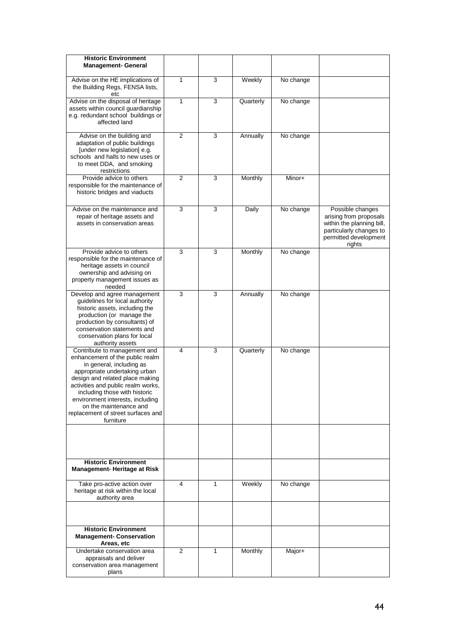| <b>Historic Environment</b><br><b>Management- General</b>                                                                                                                                                                                                                                                                                               |                |   |           |           |                                                                                                                                       |
|---------------------------------------------------------------------------------------------------------------------------------------------------------------------------------------------------------------------------------------------------------------------------------------------------------------------------------------------------------|----------------|---|-----------|-----------|---------------------------------------------------------------------------------------------------------------------------------------|
| Advise on the HE implications of<br>the Building Regs, FENSA lists,<br>etc                                                                                                                                                                                                                                                                              | 1              | 3 | Weekly    | No change |                                                                                                                                       |
| Advise on the disposal of heritage<br>assets within council guardianship<br>e.g. redundant school buildings or<br>affected land                                                                                                                                                                                                                         | $\mathbf{1}$   | 3 | Quarterly | No change |                                                                                                                                       |
| Advise on the building and<br>adaptation of public buildings<br>[under new legislation] e.g.<br>schools and halls to new uses or<br>to meet DDA, and smoking<br>restrictions                                                                                                                                                                            | $\overline{2}$ | 3 | Annually  | No change |                                                                                                                                       |
| Provide advice to others<br>responsible for the maintenance of<br>historic bridges and viaducts                                                                                                                                                                                                                                                         | 2              | 3 | Monthly   | Minor+    |                                                                                                                                       |
| Advise on the maintenance and<br>repair of heritage assets and<br>assets in conservation areas                                                                                                                                                                                                                                                          | 3              | 3 | Daily     | No change | Possible changes<br>arising from proposals<br>within the planning bill,<br>particularly changes to<br>permitted development<br>rights |
| Provide advice to others<br>responsible for the maintenance of<br>heritage assets in council<br>ownership and advising on<br>property management issues as<br>needed                                                                                                                                                                                    | 3              | 3 | Monthly   | No change |                                                                                                                                       |
| Develop and agree management<br>guidelines for local authority<br>historic assets, including the<br>production (or manage the<br>production by consultants) of<br>conservation statements and<br>conservation plans for local<br>authority assets                                                                                                       | 3              | 3 | Annually  | No change |                                                                                                                                       |
| Contribute to management and<br>enhancement of the public realm<br>in general, including as<br>appropriate undertaking urban<br>design and related place making<br>activities and public realm works,<br>including those with historic<br>environment interests, including<br>on the maintenance and<br>replacement of street surfaces and<br>furniture | 4              | 3 | Quarterly | No change |                                                                                                                                       |
| <b>Historic Environment</b>                                                                                                                                                                                                                                                                                                                             |                |   |           |           |                                                                                                                                       |
| <b>Management-Heritage at Risk</b><br>Take pro-active action over                                                                                                                                                                                                                                                                                       | 4              | 1 | Weekly    | No change |                                                                                                                                       |
| heritage at risk within the local<br>authority area                                                                                                                                                                                                                                                                                                     |                |   |           |           |                                                                                                                                       |
| <b>Historic Environment</b><br><b>Management- Conservation</b>                                                                                                                                                                                                                                                                                          |                |   |           |           |                                                                                                                                       |
| Areas, etc<br>Undertake conservation area<br>appraisals and deliver<br>conservation area management<br>plans                                                                                                                                                                                                                                            | $\overline{2}$ | 1 | Monthly   | Major+    |                                                                                                                                       |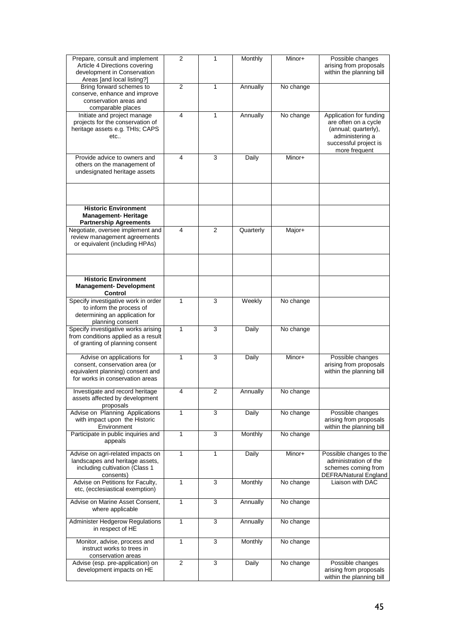| Prepare, consult and implement<br>Article 4 Directions covering<br>development in Conservation<br>Areas [and local listing?]        | 2            | 1              | Monthly   | Minor+    | Possible changes<br>arising from proposals<br>within the planning bill                                                               |
|-------------------------------------------------------------------------------------------------------------------------------------|--------------|----------------|-----------|-----------|--------------------------------------------------------------------------------------------------------------------------------------|
| Bring forward schemes to<br>conserve, enhance and improve<br>conservation areas and<br>comparable places                            | 2            | 1              | Annually  | No change |                                                                                                                                      |
| Initiate and project manage<br>projects for the conservation of<br>heritage assets e.g. THIs; CAPS<br>etc                           | 4            | 1              | Annually  | No change | Application for funding<br>are often on a cycle<br>(annual; quarterly),<br>administering a<br>successful project is<br>more frequent |
| Provide advice to owners and<br>others on the management of<br>undesignated heritage assets                                         | 4            | 3              | Daily     | Minor+    |                                                                                                                                      |
| <b>Historic Environment</b><br><b>Management-Heritage</b>                                                                           |              |                |           |           |                                                                                                                                      |
| <b>Partnership Agreements</b>                                                                                                       |              |                |           |           |                                                                                                                                      |
| Negotiate, oversee implement and<br>review management agreements<br>or equivalent (including HPAs)                                  | 4            | 2              | Quarterly | Major+    |                                                                                                                                      |
|                                                                                                                                     |              |                |           |           |                                                                                                                                      |
| <b>Historic Environment</b><br><b>Management-Development</b><br>Control                                                             |              |                |           |           |                                                                                                                                      |
| Specify investigative work in order<br>to inform the process of<br>determining an application for<br>planning consent               | 1            | 3              | Weekly    | No change |                                                                                                                                      |
| Specify investigative works arising<br>from conditions applied as a result<br>of granting of planning consent                       | 1            | 3              | Daily     | No change |                                                                                                                                      |
| Advise on applications for<br>consent, conservation area (or<br>equivalent planning) consent and<br>for works in conservation areas | $\mathbf{1}$ | 3              | Daily     | Minor+    | Possible changes<br>arising from proposals<br>within the planning bill                                                               |
| Investigate and record heritage<br>assets affected by development<br>proposals                                                      | 4            | $\overline{2}$ | Annually  | No change |                                                                                                                                      |
| Advise on Planning Applications<br>with impact upon the Historic<br>Environment                                                     | $\mathbf{1}$ | 3              | Daily     | No change | Possible changes<br>arising from proposals<br>within the planning bill                                                               |
| Participate in public inquiries and<br>appeals                                                                                      | $\mathbf{1}$ | 3              | Monthly   | No change |                                                                                                                                      |
| Advise on agri-related impacts on<br>landscapes and heritage assets,<br>including cultivation (Class 1<br>consents)                 | $\mathbf{1}$ | 1              | Daily     | Minor+    | Possible changes to the<br>administration of the<br>schemes coming from<br>DEFRA/Natural England                                     |
| Advise on Petitions for Faculty,<br>etc, (ecclesiastical exemption)                                                                 | $\mathbf{1}$ | 3              | Monthly   | No change | Liaison with DAC                                                                                                                     |
| Advise on Marine Asset Consent,<br>where applicable                                                                                 | 1            | 3              | Annually  | No change |                                                                                                                                      |
| Administer Hedgerow Regulations<br>in respect of HE                                                                                 | $\mathbf{1}$ | 3              | Annually  | No change |                                                                                                                                      |
| Monitor, advise, process and<br>instruct works to trees in<br>conservation areas                                                    | $\mathbf{1}$ | $\overline{3}$ | Monthly   | No change |                                                                                                                                      |
| Advise (esp. pre-application) on<br>development impacts on HE                                                                       | 2            | 3              | Daily     | No change | Possible changes<br>arising from proposals<br>within the planning bill                                                               |
|                                                                                                                                     |              |                |           |           |                                                                                                                                      |